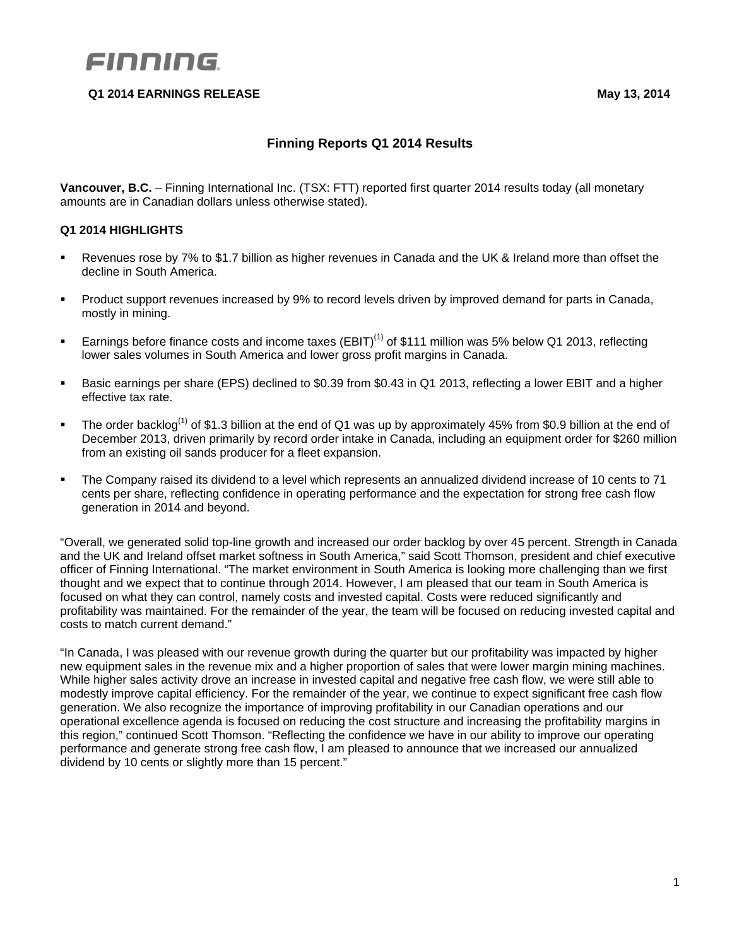# FINNING

## **Q1 2014 EARNINGS RELEASE May 13, 2014**

## **Finning Reports Q1 2014 Results**

**Vancouver, B.C.** – Finning International Inc. (TSX: FTT) reported first quarter 2014 results today (all monetary amounts are in Canadian dollars unless otherwise stated).

## **Q1 2014 HIGHLIGHTS**

- Revenues rose by 7% to \$1.7 billion as higher revenues in Canada and the UK & Ireland more than offset the decline in South America.
- **Product support revenues increased by 9% to record levels driven by improved demand for parts in Canada,** mostly in mining.
- Earnings before finance costs and income taxes  $(EBIT)^{(1)}$  of \$111 million was 5% below Q1 2013, reflecting lower sales volumes in South America and lower gross profit margins in Canada.
- Basic earnings per share (EPS) declined to \$0.39 from \$0.43 in Q1 2013, reflecting a lower EBIT and a higher effective tax rate.
- The order backlog<sup>(1)</sup> of \$1.3 billion at the end of Q1 was up by approximately 45% from \$0.9 billion at the end of December 2013, driven primarily by record order intake in Canada, including an equipment order for \$260 million from an existing oil sands producer for a fleet expansion.
- The Company raised its dividend to a level which represents an annualized dividend increase of 10 cents to 71 cents per share, reflecting confidence in operating performance and the expectation for strong free cash flow generation in 2014 and beyond.

"Overall, we generated solid top-line growth and increased our order backlog by over 45 percent. Strength in Canada and the UK and Ireland offset market softness in South America," said Scott Thomson, president and chief executive officer of Finning International. "The market environment in South America is looking more challenging than we first thought and we expect that to continue through 2014. However, I am pleased that our team in South America is focused on what they can control, namely costs and invested capital. Costs were reduced significantly and profitability was maintained. For the remainder of the year, the team will be focused on reducing invested capital and costs to match current demand."

"In Canada, I was pleased with our revenue growth during the quarter but our profitability was impacted by higher new equipment sales in the revenue mix and a higher proportion of sales that were lower margin mining machines. While higher sales activity drove an increase in invested capital and negative free cash flow, we were still able to modestly improve capital efficiency. For the remainder of the year, we continue to expect significant free cash flow generation. We also recognize the importance of improving profitability in our Canadian operations and our operational excellence agenda is focused on reducing the cost structure and increasing the profitability margins in this region," continued Scott Thomson. "Reflecting the confidence we have in our ability to improve our operating performance and generate strong free cash flow, I am pleased to announce that we increased our annualized dividend by 10 cents or slightly more than 15 percent."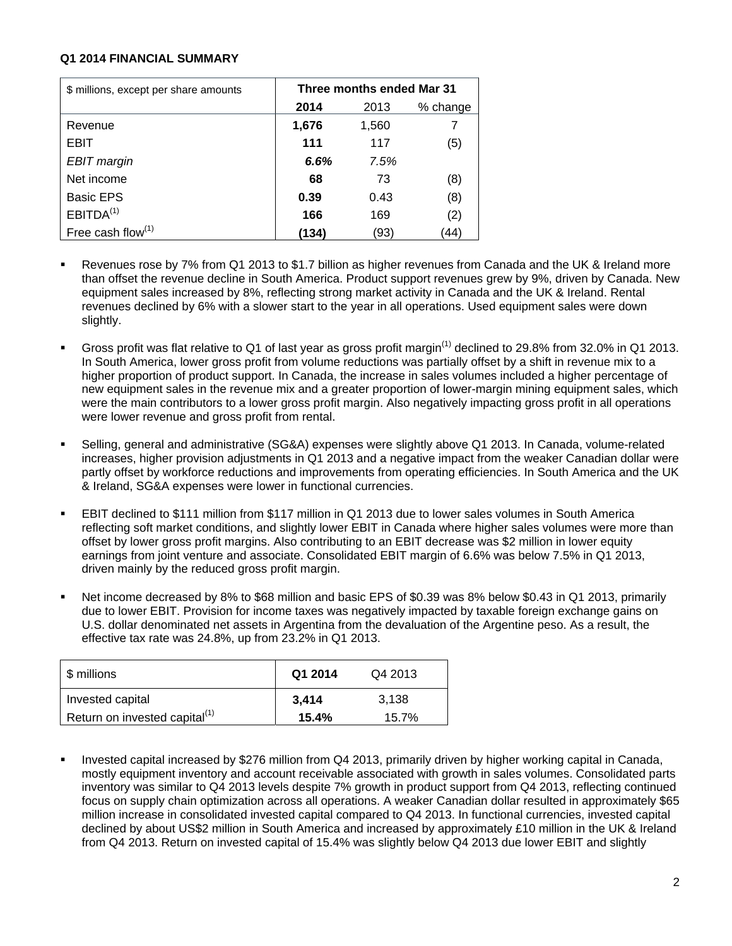#### **Q1 2014 FINANCIAL SUMMARY**

| \$ millions, except per share amounts | Three months ended Mar 31 |       |          |  |  |  |  |  |
|---------------------------------------|---------------------------|-------|----------|--|--|--|--|--|
|                                       | 2014                      | 2013  | % change |  |  |  |  |  |
| Revenue                               | 1,676                     | 1,560 |          |  |  |  |  |  |
| EBIT                                  | 111                       | 117   | (5)      |  |  |  |  |  |
| EBIT margin                           | 6.6%                      | 7.5%  |          |  |  |  |  |  |
| Net income                            | 68                        | 73    | (8)      |  |  |  |  |  |
| <b>Basic EPS</b>                      | 0.39                      | 0.43  | (8)      |  |  |  |  |  |
| EBITDA <sup>(1)</sup>                 | 166                       | 169   | (2)      |  |  |  |  |  |
| Free cash flow $(1)$                  | (134)                     | (93)  | (44)     |  |  |  |  |  |

- Revenues rose by 7% from Q1 2013 to \$1.7 billion as higher revenues from Canada and the UK & Ireland more than offset the revenue decline in South America. Product support revenues grew by 9%, driven by Canada. New equipment sales increased by 8%, reflecting strong market activity in Canada and the UK & Ireland. Rental revenues declined by 6% with a slower start to the year in all operations. Used equipment sales were down slightly.
- Gross profit was flat relative to Q1 of last year as gross profit margin<sup>(1)</sup> declined to 29.8% from 32.0% in Q1 2013. In South America, lower gross profit from volume reductions was partially offset by a shift in revenue mix to a higher proportion of product support. In Canada, the increase in sales volumes included a higher percentage of new equipment sales in the revenue mix and a greater proportion of lower-margin mining equipment sales, which were the main contributors to a lower gross profit margin. Also negatively impacting gross profit in all operations were lower revenue and gross profit from rental.
- Selling, general and administrative (SG&A) expenses were slightly above Q1 2013. In Canada, volume-related increases, higher provision adjustments in Q1 2013 and a negative impact from the weaker Canadian dollar were partly offset by workforce reductions and improvements from operating efficiencies. In South America and the UK & Ireland, SG&A expenses were lower in functional currencies.
- EBIT declined to \$111 million from \$117 million in Q1 2013 due to lower sales volumes in South America reflecting soft market conditions, and slightly lower EBIT in Canada where higher sales volumes were more than offset by lower gross profit margins. Also contributing to an EBIT decrease was \$2 million in lower equity earnings from joint venture and associate. Consolidated EBIT margin of 6.6% was below 7.5% in Q1 2013, driven mainly by the reduced gross profit margin.
- Net income decreased by 8% to \$68 million and basic EPS of \$0.39 was 8% below \$0.43 in Q1 2013, primarily due to lower EBIT. Provision for income taxes was negatively impacted by taxable foreign exchange gains on U.S. dollar denominated net assets in Argentina from the devaluation of the Argentine peso. As a result, the effective tax rate was 24.8%, up from 23.2% in Q1 2013.

| \$ millions                               | Q1 2014 | Q4 2013 |
|-------------------------------------------|---------|---------|
| Invested capital                          | 3,414   | 3.138   |
| Return on invested capital <sup>(1)</sup> | 15.4%   | 15.7%   |

 Invested capital increased by \$276 million from Q4 2013, primarily driven by higher working capital in Canada, mostly equipment inventory and account receivable associated with growth in sales volumes. Consolidated parts inventory was similar to Q4 2013 levels despite 7% growth in product support from Q4 2013, reflecting continued focus on supply chain optimization across all operations. A weaker Canadian dollar resulted in approximately \$65 million increase in consolidated invested capital compared to Q4 2013. In functional currencies, invested capital declined by about US\$2 million in South America and increased by approximately £10 million in the UK & Ireland from Q4 2013. Return on invested capital of 15.4% was slightly below Q4 2013 due lower EBIT and slightly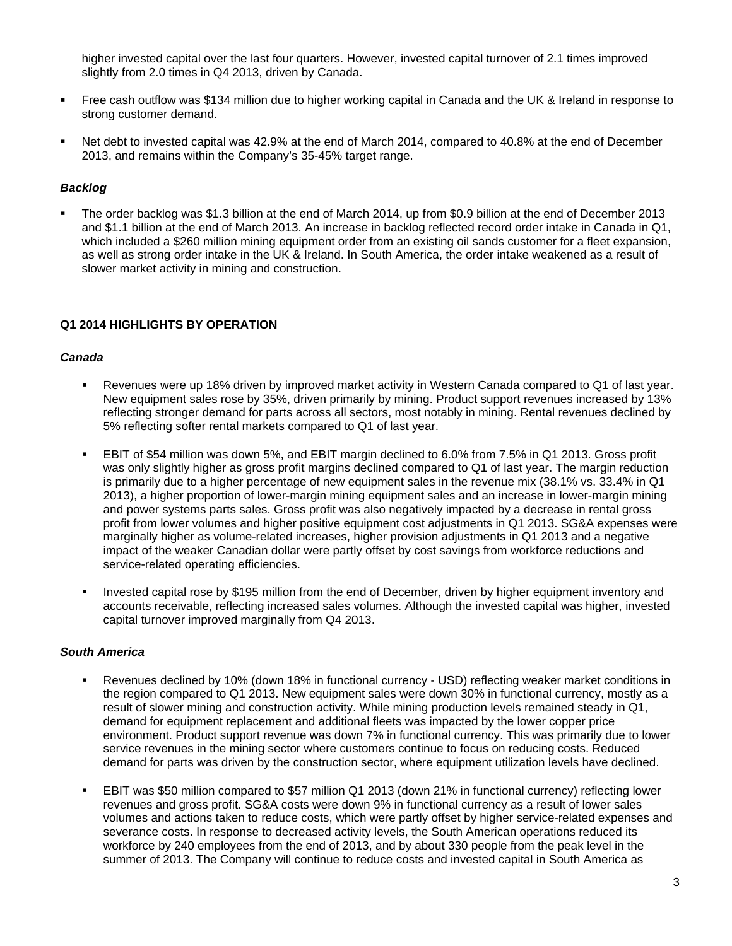higher invested capital over the last four quarters. However, invested capital turnover of 2.1 times improved slightly from 2.0 times in Q4 2013, driven by Canada.

- Free cash outflow was \$134 million due to higher working capital in Canada and the UK & Ireland in response to strong customer demand.
- Net debt to invested capital was 42.9% at the end of March 2014, compared to 40.8% at the end of December 2013, and remains within the Company's 35-45% target range.

### *Backlog*

 The order backlog was \$1.3 billion at the end of March 2014, up from \$0.9 billion at the end of December 2013 and \$1.1 billion at the end of March 2013. An increase in backlog reflected record order intake in Canada in Q1, which included a \$260 million mining equipment order from an existing oil sands customer for a fleet expansion, as well as strong order intake in the UK & Ireland. In South America, the order intake weakened as a result of slower market activity in mining and construction.

#### **Q1 2014 HIGHLIGHTS BY OPERATION**

#### *Canada*

- Revenues were up 18% driven by improved market activity in Western Canada compared to Q1 of last year. New equipment sales rose by 35%, driven primarily by mining. Product support revenues increased by 13% reflecting stronger demand for parts across all sectors, most notably in mining. Rental revenues declined by 5% reflecting softer rental markets compared to Q1 of last year.
- EBIT of \$54 million was down 5%, and EBIT margin declined to 6.0% from 7.5% in Q1 2013. Gross profit was only slightly higher as gross profit margins declined compared to Q1 of last year. The margin reduction is primarily due to a higher percentage of new equipment sales in the revenue mix (38.1% vs. 33.4% in Q1 2013), a higher proportion of lower-margin mining equipment sales and an increase in lower-margin mining and power systems parts sales. Gross profit was also negatively impacted by a decrease in rental gross profit from lower volumes and higher positive equipment cost adjustments in Q1 2013. SG&A expenses were marginally higher as volume-related increases, higher provision adjustments in Q1 2013 and a negative impact of the weaker Canadian dollar were partly offset by cost savings from workforce reductions and service-related operating efficiencies.
- Invested capital rose by \$195 million from the end of December, driven by higher equipment inventory and accounts receivable, reflecting increased sales volumes. Although the invested capital was higher, invested capital turnover improved marginally from Q4 2013.

#### *South America*

- Revenues declined by 10% (down 18% in functional currency USD) reflecting weaker market conditions in the region compared to Q1 2013. New equipment sales were down 30% in functional currency, mostly as a result of slower mining and construction activity. While mining production levels remained steady in Q1, demand for equipment replacement and additional fleets was impacted by the lower copper price environment. Product support revenue was down 7% in functional currency. This was primarily due to lower service revenues in the mining sector where customers continue to focus on reducing costs. Reduced demand for parts was driven by the construction sector, where equipment utilization levels have declined.
- EBIT was \$50 million compared to \$57 million Q1 2013 (down 21% in functional currency) reflecting lower revenues and gross profit. SG&A costs were down 9% in functional currency as a result of lower sales volumes and actions taken to reduce costs, which were partly offset by higher service-related expenses and severance costs. In response to decreased activity levels, the South American operations reduced its workforce by 240 employees from the end of 2013, and by about 330 people from the peak level in the summer of 2013. The Company will continue to reduce costs and invested capital in South America as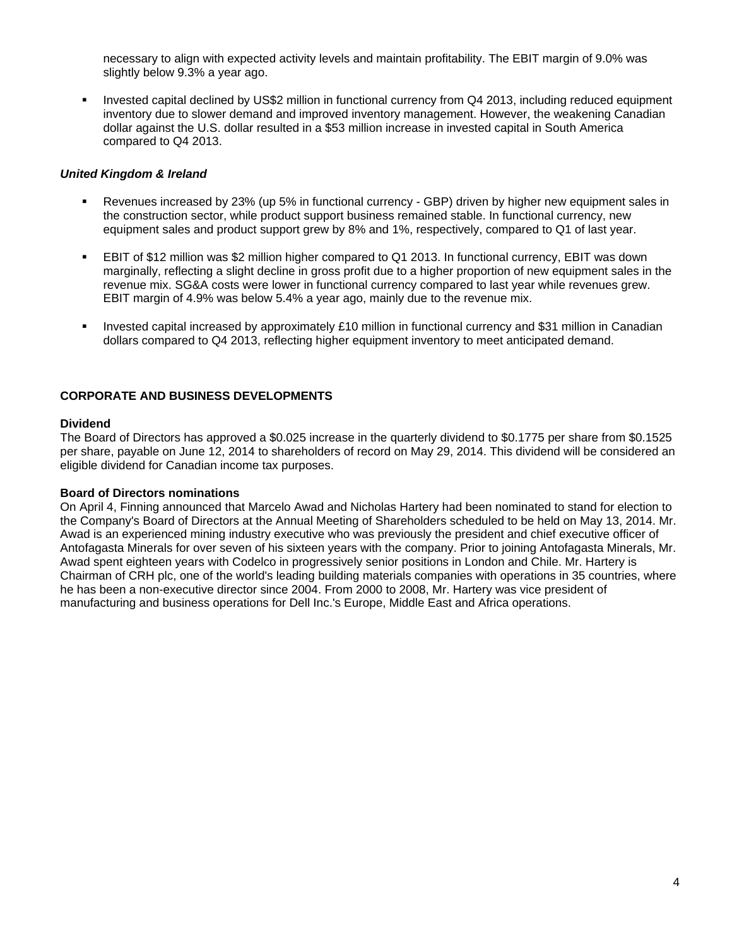necessary to align with expected activity levels and maintain profitability. The EBIT margin of 9.0% was slightly below 9.3% a year ago.

 Invested capital declined by US\$2 million in functional currency from Q4 2013, including reduced equipment inventory due to slower demand and improved inventory management. However, the weakening Canadian dollar against the U.S. dollar resulted in a \$53 million increase in invested capital in South America compared to Q4 2013.

## *United Kingdom & Ireland*

- Revenues increased by 23% (up 5% in functional currency GBP) driven by higher new equipment sales in the construction sector, while product support business remained stable. In functional currency, new equipment sales and product support grew by 8% and 1%, respectively, compared to Q1 of last year.
- EBIT of \$12 million was \$2 million higher compared to Q1 2013. In functional currency, EBIT was down marginally, reflecting a slight decline in gross profit due to a higher proportion of new equipment sales in the revenue mix. SG&A costs were lower in functional currency compared to last year while revenues grew. EBIT margin of 4.9% was below 5.4% a year ago, mainly due to the revenue mix.
- Invested capital increased by approximately £10 million in functional currency and \$31 million in Canadian dollars compared to Q4 2013, reflecting higher equipment inventory to meet anticipated demand.

## **CORPORATE AND BUSINESS DEVELOPMENTS**

#### **Dividend**

The Board of Directors has approved a \$0.025 increase in the quarterly dividend to \$0.1775 per share from \$0.1525 per share, payable on June 12, 2014 to shareholders of record on May 29, 2014. This dividend will be considered an eligible dividend for Canadian income tax purposes.

## **Board of Directors nominations**

On April 4, Finning announced that Marcelo Awad and Nicholas Hartery had been nominated to stand for election to the Company's Board of Directors at the Annual Meeting of Shareholders scheduled to be held on May 13, 2014. Mr. Awad is an experienced mining industry executive who was previously the president and chief executive officer of Antofagasta Minerals for over seven of his sixteen years with the company. Prior to joining Antofagasta Minerals, Mr. Awad spent eighteen years with Codelco in progressively senior positions in London and Chile. Mr. Hartery is Chairman of CRH plc, one of the world's leading building materials companies with operations in 35 countries, where he has been a non-executive director since 2004. From 2000 to 2008, Mr. Hartery was vice president of manufacturing and business operations for Dell Inc.'s Europe, Middle East and Africa operations.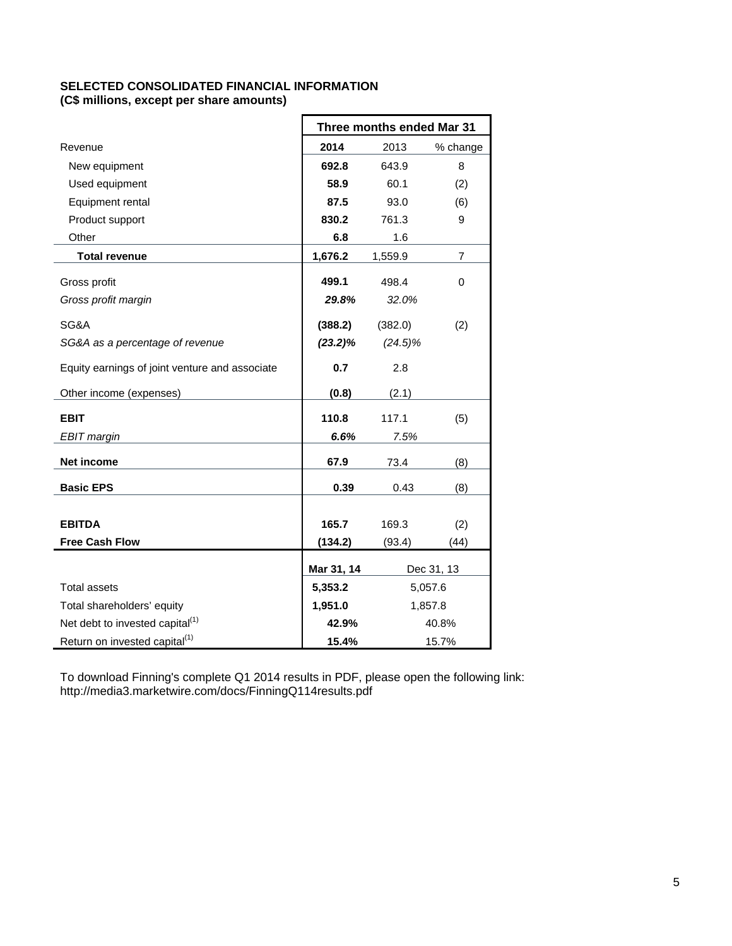## **SELECTED CONSOLIDATED FINANCIAL INFORMATION (C\$ millions, except per share amounts)**

|                                                | Three months ended Mar 31 |            |                |  |  |  |  |
|------------------------------------------------|---------------------------|------------|----------------|--|--|--|--|
| Revenue                                        | 2014                      | 2013       | % change       |  |  |  |  |
| New equipment                                  | 692.8                     | 643.9      | 8              |  |  |  |  |
| Used equipment                                 | 58.9                      | 60.1       | (2)            |  |  |  |  |
| Equipment rental                               | 87.5                      | 93.0       | (6)            |  |  |  |  |
| Product support                                | 830.2                     | 761.3      | 9              |  |  |  |  |
| Other                                          | 6.8                       | 1.6        |                |  |  |  |  |
| <b>Total revenue</b>                           | 1,676.2                   | 1,559.9    | $\overline{7}$ |  |  |  |  |
| Gross profit                                   | 499.1                     | 498.4      | 0              |  |  |  |  |
| Gross profit margin                            | 29.8%                     | 32.0%      |                |  |  |  |  |
| SG&A                                           | (388.2)                   | (382.0)    | (2)            |  |  |  |  |
| SG&A as a percentage of revenue                | (23.2)%                   | $(24.5)\%$ |                |  |  |  |  |
| Equity earnings of joint venture and associate | 0.7                       | 2.8        |                |  |  |  |  |
| Other income (expenses)                        | (0.8)                     | (2.1)      |                |  |  |  |  |
| <b>EBIT</b>                                    | 110.8                     | 117.1      | (5)            |  |  |  |  |
| <b>EBIT</b> margin                             | 6.6%                      | 7.5%       |                |  |  |  |  |
| Net income                                     | 67.9                      | 73.4       | (8)            |  |  |  |  |
| <b>Basic EPS</b>                               | 0.39                      | 0.43       | (8)            |  |  |  |  |
|                                                |                           |            |                |  |  |  |  |
| <b>EBITDA</b>                                  | 165.7                     | 169.3      | (2)            |  |  |  |  |
| <b>Free Cash Flow</b>                          | (134.2)                   | (93.4)     | (44)           |  |  |  |  |
|                                                | Mar 31, 14                |            | Dec 31, 13     |  |  |  |  |
| <b>Total assets</b>                            | 5,353.2                   |            | 5,057.6        |  |  |  |  |
| Total shareholders' equity                     | 1,951.0                   |            | 1,857.8        |  |  |  |  |
| Net debt to invested capital <sup>(1)</sup>    | 42.9%                     |            | 40.8%          |  |  |  |  |
| Return on invested capital <sup>(1)</sup>      | 15.4%                     |            | 15.7%          |  |  |  |  |

To download Finning's complete Q1 2014 results in PDF, please open the following link: http://media3.marketwire.com/docs/FinningQ114results.pdf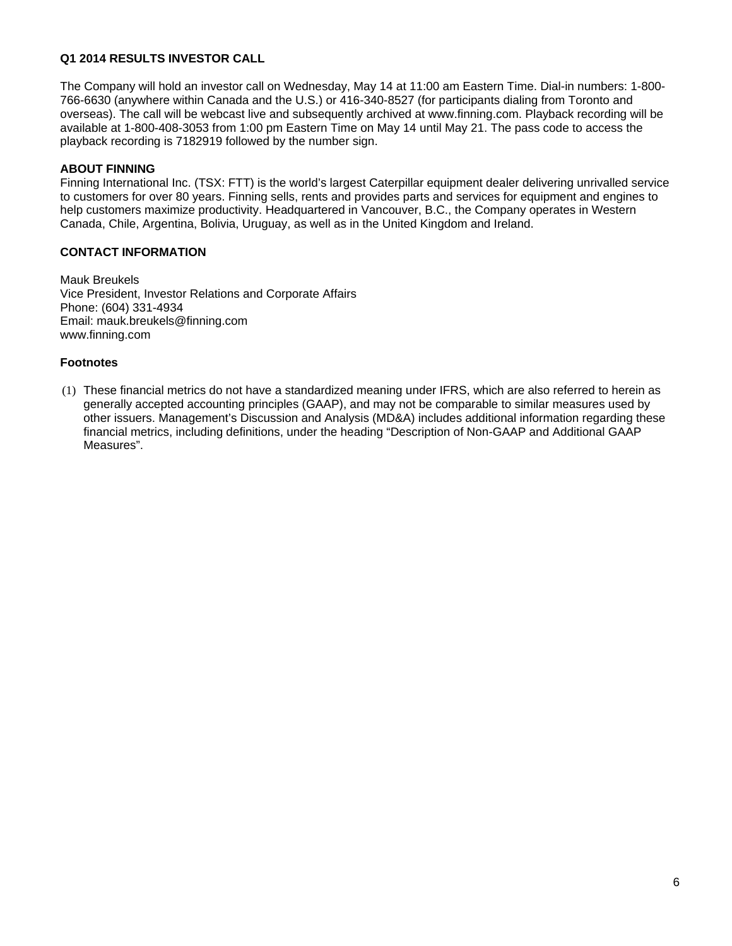## **Q1 2014 RESULTS INVESTOR CALL**

The Company will hold an investor call on Wednesday, May 14 at 11:00 am Eastern Time. Dial-in numbers: 1-800- 766-6630 (anywhere within Canada and the U.S.) or 416-340-8527 (for participants dialing from Toronto and overseas). The call will be webcast live and subsequently archived at www.finning.com. Playback recording will be available at 1-800-408-3053 from 1:00 pm Eastern Time on May 14 until May 21. The pass code to access the playback recording is 7182919 followed by the number sign.

## **ABOUT FINNING**

Finning International Inc. (TSX: FTT) is the world's largest Caterpillar equipment dealer delivering unrivalled service to customers for over 80 years. Finning sells, rents and provides parts and services for equipment and engines to help customers maximize productivity. Headquartered in Vancouver, B.C., the Company operates in Western Canada, Chile, Argentina, Bolivia, Uruguay, as well as in the United Kingdom and Ireland.

## **CONTACT INFORMATION**

Mauk Breukels Vice President, Investor Relations and Corporate Affairs Phone: (604) 331-4934 Email: mauk.breukels@finning.com www.finning.com

## **Footnotes**

(1) These financial metrics do not have a standardized meaning under IFRS, which are also referred to herein as generally accepted accounting principles (GAAP), and may not be comparable to similar measures used by other issuers. Management's Discussion and Analysis (MD&A) includes additional information regarding these financial metrics, including definitions, under the heading "Description of Non-GAAP and Additional GAAP Measures".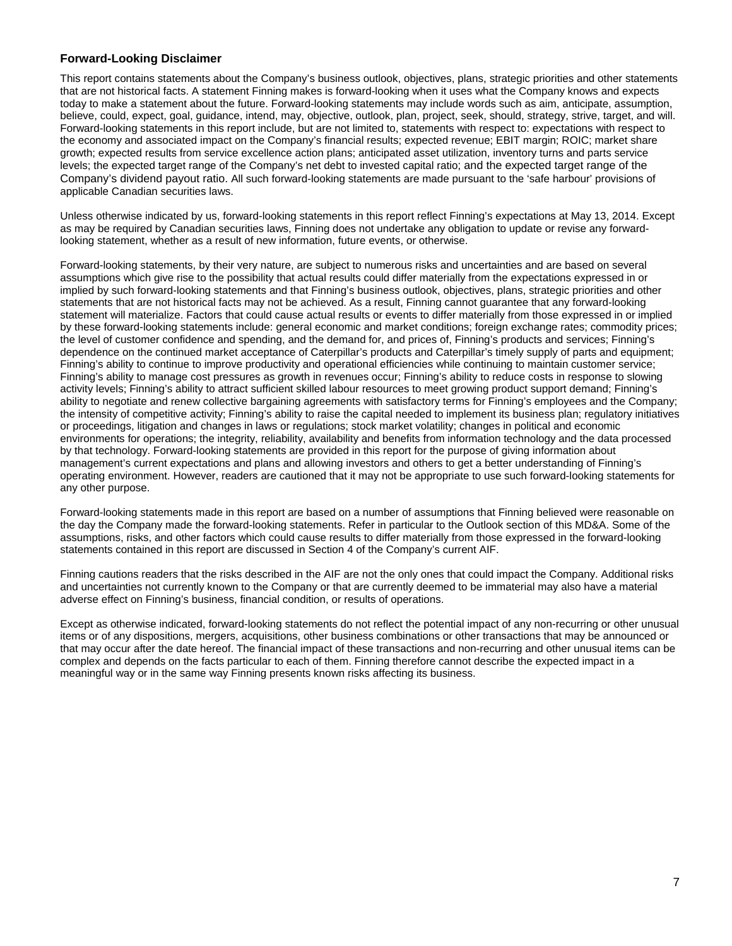#### **Forward-Looking Disclaimer**

This report contains statements about the Company's business outlook, objectives, plans, strategic priorities and other statements that are not historical facts. A statement Finning makes is forward-looking when it uses what the Company knows and expects today to make a statement about the future. Forward-looking statements may include words such as aim, anticipate, assumption, believe, could, expect, goal, guidance, intend, may, objective, outlook, plan, project, seek, should, strategy, strive, target, and will. Forward-looking statements in this report include, but are not limited to, statements with respect to: expectations with respect to the economy and associated impact on the Company's financial results; expected revenue; EBIT margin; ROIC; market share growth; expected results from service excellence action plans; anticipated asset utilization, inventory turns and parts service levels; the expected target range of the Company's net debt to invested capital ratio; and the expected target range of the Company's dividend payout ratio. All such forward-looking statements are made pursuant to the 'safe harbour' provisions of applicable Canadian securities laws.

Unless otherwise indicated by us, forward-looking statements in this report reflect Finning's expectations at May 13, 2014. Except as may be required by Canadian securities laws, Finning does not undertake any obligation to update or revise any forwardlooking statement, whether as a result of new information, future events, or otherwise.

Forward-looking statements, by their very nature, are subject to numerous risks and uncertainties and are based on several assumptions which give rise to the possibility that actual results could differ materially from the expectations expressed in or implied by such forward-looking statements and that Finning's business outlook, objectives, plans, strategic priorities and other statements that are not historical facts may not be achieved. As a result, Finning cannot guarantee that any forward-looking statement will materialize. Factors that could cause actual results or events to differ materially from those expressed in or implied by these forward-looking statements include: general economic and market conditions; foreign exchange rates; commodity prices; the level of customer confidence and spending, and the demand for, and prices of, Finning's products and services; Finning's dependence on the continued market acceptance of Caterpillar's products and Caterpillar's timely supply of parts and equipment; Finning's ability to continue to improve productivity and operational efficiencies while continuing to maintain customer service; Finning's ability to manage cost pressures as growth in revenues occur; Finning's ability to reduce costs in response to slowing activity levels; Finning's ability to attract sufficient skilled labour resources to meet growing product support demand; Finning's ability to negotiate and renew collective bargaining agreements with satisfactory terms for Finning's employees and the Company; the intensity of competitive activity; Finning's ability to raise the capital needed to implement its business plan; regulatory initiatives or proceedings, litigation and changes in laws or regulations; stock market volatility; changes in political and economic environments for operations; the integrity, reliability, availability and benefits from information technology and the data processed by that technology. Forward-looking statements are provided in this report for the purpose of giving information about management's current expectations and plans and allowing investors and others to get a better understanding of Finning's operating environment. However, readers are cautioned that it may not be appropriate to use such forward-looking statements for any other purpose.

Forward-looking statements made in this report are based on a number of assumptions that Finning believed were reasonable on the day the Company made the forward-looking statements. Refer in particular to the Outlook section of this MD&A. Some of the assumptions, risks, and other factors which could cause results to differ materially from those expressed in the forward-looking statements contained in this report are discussed in Section 4 of the Company's current AIF.

Finning cautions readers that the risks described in the AIF are not the only ones that could impact the Company. Additional risks and uncertainties not currently known to the Company or that are currently deemed to be immaterial may also have a material adverse effect on Finning's business, financial condition, or results of operations.

Except as otherwise indicated, forward-looking statements do not reflect the potential impact of any non-recurring or other unusual items or of any dispositions, mergers, acquisitions, other business combinations or other transactions that may be announced or that may occur after the date hereof. The financial impact of these transactions and non-recurring and other unusual items can be complex and depends on the facts particular to each of them. Finning therefore cannot describe the expected impact in a meaningful way or in the same way Finning presents known risks affecting its business.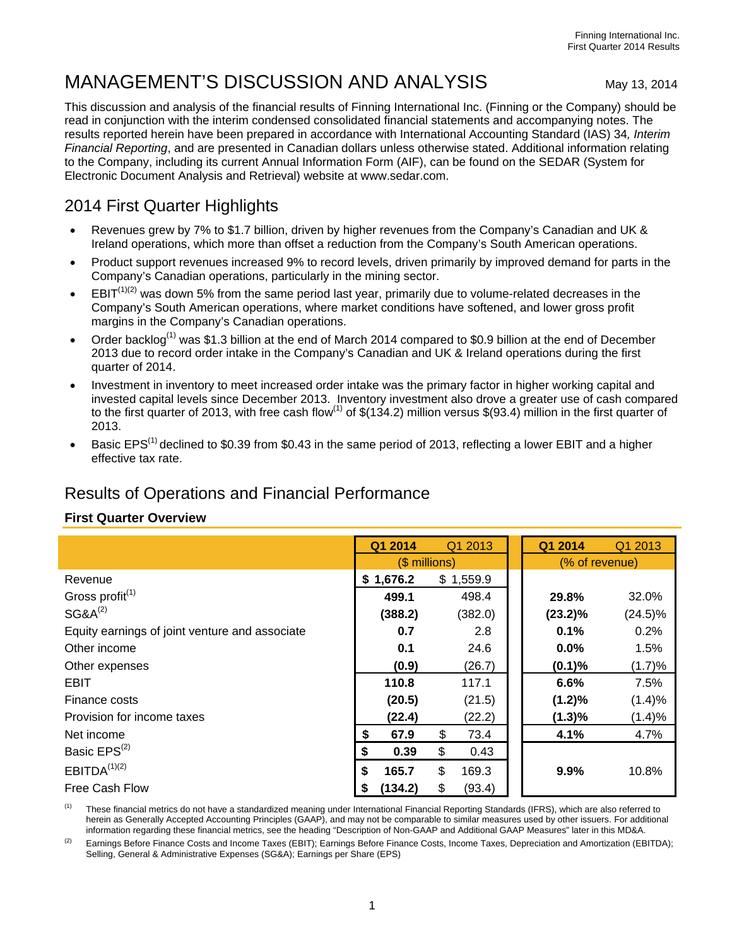# MANAGEMENT'S DISCUSSION AND ANALYSIS May 13, 2014

This discussion and analysis of the financial results of Finning International Inc. (Finning or the Company) should be read in conjunction with the interim condensed consolidated financial statements and accompanying notes. The results reported herein have been prepared in accordance with International Accounting Standard (IAS) 34*, Interim Financial Reporting*, and are presented in Canadian dollars unless otherwise stated. Additional information relating to the Company, including its current Annual Information Form (AIF), can be found on the SEDAR (System for Electronic Document Analysis and Retrieval) website at www.sedar.com.

## 2014 First Quarter Highlights

- Revenues grew by 7% to \$1.7 billion, driven by higher revenues from the Company's Canadian and UK & Ireland operations, which more than offset a reduction from the Company's South American operations.
- Product support revenues increased 9% to record levels, driven primarily by improved demand for parts in the Company's Canadian operations, particularly in the mining sector.
- $EBIT^{(1)(2)}$  was down 5% from the same period last year, primarily due to volume-related decreases in the Company's South American operations, where market conditions have softened, and lower gross profit margins in the Company's Canadian operations.
- Order backlog<sup>(1)</sup> was \$1.3 billion at the end of March 2014 compared to \$0.9 billion at the end of December 2013 due to record order intake in the Company's Canadian and UK & Ireland operations during the first quarter of 2014.
- Investment in inventory to meet increased order intake was the primary factor in higher working capital and invested capital levels since December 2013. Inventory investment also drove a greater use of cash compared to the first quarter of 2013, with free cash flow<sup>(1)</sup> of  $$(134.2)$  million versus  $$(93.4)$  million in the first quarter of 2013.
- Basic EPS<sup>(1)</sup> declined to \$0.39 from \$0.43 in the same period of 2013, reflecting a lower EBIT and a higher effective tax rate.

## Results of Operations and Financial Performance

## **First Quarter Overview**

|                                                | Q1 2014        | Q1 2013      | Q1 2014        | Q1 2013    |
|------------------------------------------------|----------------|--------------|----------------|------------|
|                                                | $($$ millions) |              | (% of revenue) |            |
| Revenue                                        | \$1,676.2      | \$1,559.9    |                |            |
| Gross profit <sup>(1)</sup>                    | 499.1          | 498.4        | 29.8%          | 32.0%      |
| $SG8A^{(2)}$                                   | (388.2)        | (382.0)      | $(23.2)\%$     | $(24.5)\%$ |
| Equity earnings of joint venture and associate | 0.7            | 2.8          | 0.1%           | 0.2%       |
| Other income                                   | 0.1            | 24.6         | 0.0%           | 1.5%       |
| Other expenses                                 | (0.9)          | (26.7)       | (0.1)%         | (1.7)%     |
| <b>EBIT</b>                                    | 110.8          | 117.1        | 6.6%           | 7.5%       |
| Finance costs                                  | (20.5)         | (21.5)       | $(1.2)\%$      | (1.4)%     |
| Provision for income taxes                     | (22.4)         | (22.2)       | (1.3)%         | (1.4)%     |
| Net income                                     | 67.9<br>\$     | \$<br>73.4   | 4.1%           | 4.7%       |
| Basic EPS <sup>(2)</sup>                       | 0.39<br>S      | \$<br>0.43   |                |            |
| EBITDA <sup>(1)(2)</sup>                       | \$<br>165.7    | \$<br>169.3  | 9.9%           | 10.8%      |
| Free Cash Flow                                 | (134.2)<br>S   | \$<br>(93.4) |                |            |

(1) These financial metrics do not have a standardized meaning under International Financial Reporting Standards (IFRS), which are also referred to herein as Generally Accepted Accounting Principles (GAAP), and may not be comparable to similar measures used by other issuers. For additional information regarding these financial metrics, see the heading "Description of Non-GAAP and Additional GAAP Measures" later in this MD&A.

 $(2)$  Earnings Before Finance Costs and Income Taxes (EBIT); Earnings Before Finance Costs, Income Taxes, Depreciation and Amortization (EBITDA); Selling, General & Administrative Expenses (SG&A); Earnings per Share (EPS)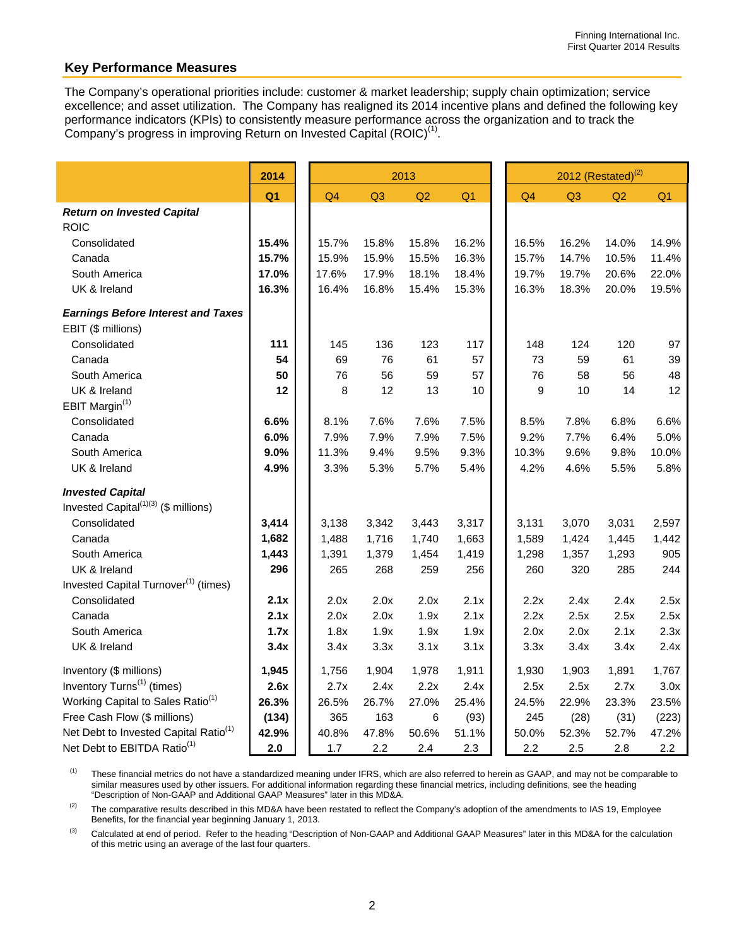## **Key Performance Measures**

The Company's operational priorities include: customer & market leadership; supply chain optimization; service excellence; and asset utilization. The Company has realigned its 2014 incentive plans and defined the following key performance indicators (KPIs) to consistently measure performance across the organization and to track the Company's progress in improving Return on Invested Capital (ROIC)<sup>(1)</sup>.

|                                                   | 2014           |                |       | 2013  |                |                | $2012$ (Restated) <sup>(2)</sup> |       |                |  |
|---------------------------------------------------|----------------|----------------|-------|-------|----------------|----------------|----------------------------------|-------|----------------|--|
|                                                   | Q <sub>1</sub> | Q <sub>4</sub> | Q3    | Q2    | Q <sub>1</sub> | Q <sub>4</sub> | Q3                               | Q2    | Q <sub>1</sub> |  |
| <b>Return on Invested Capital</b>                 |                |                |       |       |                |                |                                  |       |                |  |
| <b>ROIC</b>                                       |                |                |       |       |                |                |                                  |       |                |  |
| Consolidated                                      | 15.4%          | 15.7%          | 15.8% | 15.8% | 16.2%          | 16.5%          | 16.2%                            | 14.0% | 14.9%          |  |
| Canada                                            | 15.7%          | 15.9%          | 15.9% | 15.5% | 16.3%          | 15.7%          | 14.7%                            | 10.5% | 11.4%          |  |
| South America                                     | 17.0%          | 17.6%          | 17.9% | 18.1% | 18.4%          | 19.7%          | 19.7%                            | 20.6% | 22.0%          |  |
| UK & Ireland                                      | 16.3%          | 16.4%          | 16.8% | 15.4% | 15.3%          | 16.3%          | 18.3%                            | 20.0% | 19.5%          |  |
| <b>Earnings Before Interest and Taxes</b>         |                |                |       |       |                |                |                                  |       |                |  |
| EBIT (\$ millions)                                |                |                |       |       |                |                |                                  |       |                |  |
| Consolidated                                      | 111            | 145            | 136   | 123   | 117            | 148            | 124                              | 120   | 97             |  |
| Canada                                            | 54             | 69             | 76    | 61    | 57             | 73             | 59                               | 61    | 39             |  |
| South America                                     | 50             | 76             | 56    | 59    | 57             | 76             | 58                               | 56    | 48             |  |
| UK & Ireland                                      | 12             | 8              | 12    | 13    | 10             | 9              | 10                               | 14    | 12             |  |
| EBIT Margin <sup>(1)</sup>                        |                |                |       |       |                |                |                                  |       |                |  |
| Consolidated                                      | 6.6%           | 8.1%           | 7.6%  | 7.6%  | 7.5%           | 8.5%           | 7.8%                             | 6.8%  | 6.6%           |  |
| Canada                                            | 6.0%           | 7.9%           | 7.9%  | 7.9%  | 7.5%           | 9.2%           | 7.7%                             | 6.4%  | 5.0%           |  |
| South America                                     | 9.0%           | 11.3%          | 9.4%  | 9.5%  | 9.3%           | 10.3%          | 9.6%                             | 9.8%  | 10.0%          |  |
| UK & Ireland                                      | 4.9%           | 3.3%           | 5.3%  | 5.7%  | 5.4%           | 4.2%           | 4.6%                             | 5.5%  | 5.8%           |  |
| <b>Invested Capital</b>                           |                |                |       |       |                |                |                                  |       |                |  |
| Invested Capital $(1)(3)$ (\$ millions)           |                |                |       |       |                |                |                                  |       |                |  |
| Consolidated                                      | 3,414          | 3,138          | 3,342 | 3,443 | 3,317          | 3,131          | 3,070                            | 3,031 | 2,597          |  |
| Canada                                            | 1,682          | 1,488          | 1,716 | 1,740 | 1,663          | 1,589          | 1,424                            | 1,445 | 1,442          |  |
| South America                                     | 1,443          | 1,391          | 1,379 | 1,454 | 1,419          | 1,298          | 1,357                            | 1,293 | 905            |  |
| UK & Ireland                                      | 296            | 265            | 268   | 259   | 256            | 260            | 320                              | 285   | 244            |  |
| Invested Capital Turnover <sup>(1)</sup> (times)  |                |                |       |       |                |                |                                  |       |                |  |
| Consolidated                                      | 2.1x           | 2.0x           | 2.0x  | 2.0x  | 2.1x           | 2.2x           | 2.4x                             | 2.4x  | 2.5x           |  |
| Canada                                            | 2.1x           | 2.0x           | 2.0x  | 1.9x  | 2.1x           | 2.2x           | 2.5x                             | 2.5x  | 2.5x           |  |
| South America                                     | 1.7x           | 1.8x           | 1.9x  | 1.9x  | 1.9x           | 2.0x           | 2.0x                             | 2.1x  | 2.3x           |  |
| UK & Ireland                                      | 3.4x           | 3.4x           | 3.3x  | 3.1x  | 3.1x           | 3.3x           | 3.4x                             | 3.4x  | 2.4x           |  |
| Inventory (\$ millions)                           | 1,945          | 1,756          | 1,904 | 1,978 | 1,911          | 1,930          | 1,903                            | 1,891 | 1,767          |  |
| Inventory Turns <sup>(1)</sup> (times)            | 2.6x           | 2.7x           | 2.4x  | 2.2x  | 2.4x           | 2.5x           | 2.5x                             | 2.7x  | 3.0x           |  |
| Working Capital to Sales Ratio <sup>(1)</sup>     | 26.3%          | 26.5%          | 26.7% | 27.0% | 25.4%          | 24.5%          | 22.9%                            | 23.3% | 23.5%          |  |
| Free Cash Flow (\$ millions)                      | (134)          | 365            | 163   | 6     | (93)           | 245            | (28)                             | (31)  | (223)          |  |
| Net Debt to Invested Capital Ratio <sup>(1)</sup> | 42.9%          | 40.8%          | 47.8% | 50.6% | 51.1%          | 50.0%          | 52.3%                            | 52.7% | 47.2%          |  |
| Net Debt to EBITDA Ratio <sup>(1)</sup>           | 2.0            | 1.7            | 2.2   | 2.4   | 2.3            | 2.2            | 2.5                              | 2.8   | 2.2            |  |

<sup>(1)</sup> These financial metrics do not have a standardized meaning under IFRS, which are also referred to herein as GAAP, and may not be comparable to similar measures used by other issuers. For additional information regarding these financial metrics, including definitions, see the heading "Description of Non-GAAP and Additional GAAP Measures" later in this MD&A.

<sup>(2)</sup> The comparative results described in this MD&A have been restated to reflect the Company's adoption of the amendments to IAS 19, Employee Benefits, for the financial year beginning January 1, 2013.

<sup>(3)</sup> Calculated at end of period. Refer to the heading "Description of Non-GAAP and Additional GAAP Measures" later in this MD&A for the calculation of this metric using an average of the last four quarters.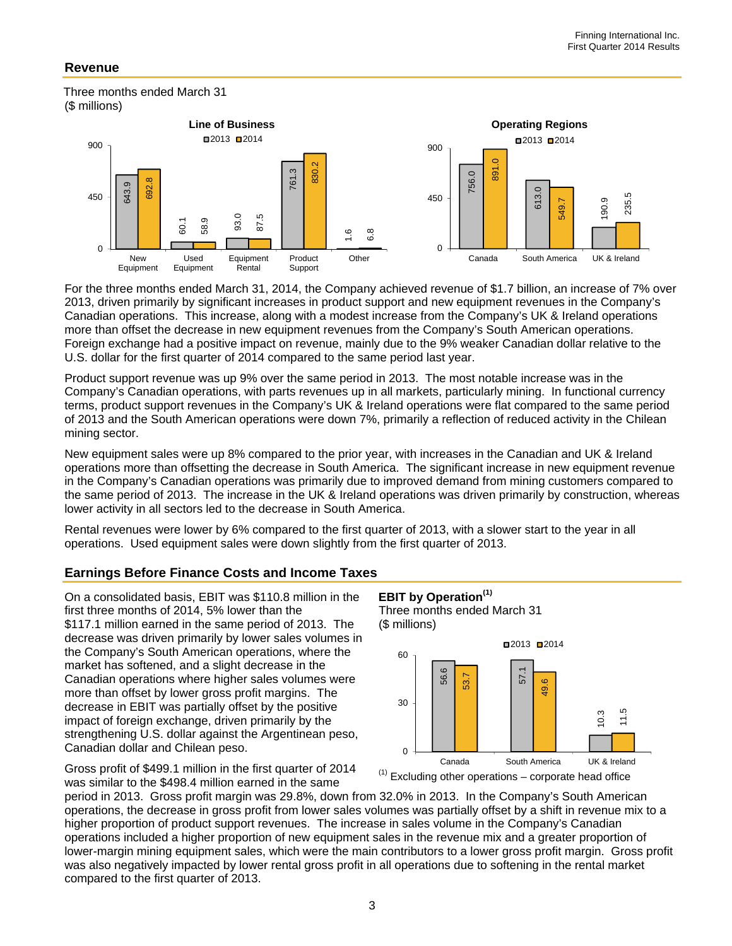## **Revenue**

 Three months ended March 31 (\$ millions)



For the three months ended March 31, 2014, the Company achieved revenue of \$1.7 billion, an increase of 7% over 2013, driven primarily by significant increases in product support and new equipment revenues in the Company's Canadian operations. This increase, along with a modest increase from the Company's UK & Ireland operations more than offset the decrease in new equipment revenues from the Company's South American operations. Foreign exchange had a positive impact on revenue, mainly due to the 9% weaker Canadian dollar relative to the U.S. dollar for the first quarter of 2014 compared to the same period last year.

Product support revenue was up 9% over the same period in 2013. The most notable increase was in the Company's Canadian operations, with parts revenues up in all markets, particularly mining. In functional currency terms, product support revenues in the Company's UK & Ireland operations were flat compared to the same period of 2013 and the South American operations were down 7%, primarily a reflection of reduced activity in the Chilean mining sector.

New equipment sales were up 8% compared to the prior year, with increases in the Canadian and UK & Ireland operations more than offsetting the decrease in South America. The significant increase in new equipment revenue in the Company's Canadian operations was primarily due to improved demand from mining customers compared to the same period of 2013. The increase in the UK & Ireland operations was driven primarily by construction, whereas lower activity in all sectors led to the decrease in South America.

Rental revenues were lower by 6% compared to the first quarter of 2013, with a slower start to the year in all operations. Used equipment sales were down slightly from the first quarter of 2013.

## **Earnings Before Finance Costs and Income Taxes**

On a consolidated basis, EBIT was \$110.8 million in the first three months of 2014, 5% lower than the \$117.1 million earned in the same period of 2013. The decrease was driven primarily by lower sales volumes in the Company's South American operations, where the market has softened, and a slight decrease in the Canadian operations where higher sales volumes were more than offset by lower gross profit margins. The decrease in EBIT was partially offset by the positive impact of foreign exchange, driven primarily by the strengthening U.S. dollar against the Argentinean peso, Canadian dollar and Chilean peso. 450<br>
Compared to the three months ended March 31<br>
Canadian operations. This increase, and Equipment<br>
Canadian operations. This increase, in more than offset the decrease in new<br>
U.S. dollar for the first quarter of 2014<br>

Gross profit of \$499.1 million in the first quarter of 2014 was similar to the \$498.4 million earned in the same



period in 2013. Gross profit margin was 29.8%, down from 32.0% in 2013. In the Company's South American operations, the decrease in gross profit from lower sales volumes was partially offset by a shift in revenue mix to a higher proportion of product support revenues. The increase in sales volume in the Company's Canadian operations included a higher proportion of new equipment sales in the revenue mix and a greater proportion of lower-margin mining equipment sales, which were the main contributors to a lower gross profit margin. Gross profit was also negatively impacted by lower rental gross profit in all operations due to softening in the rental market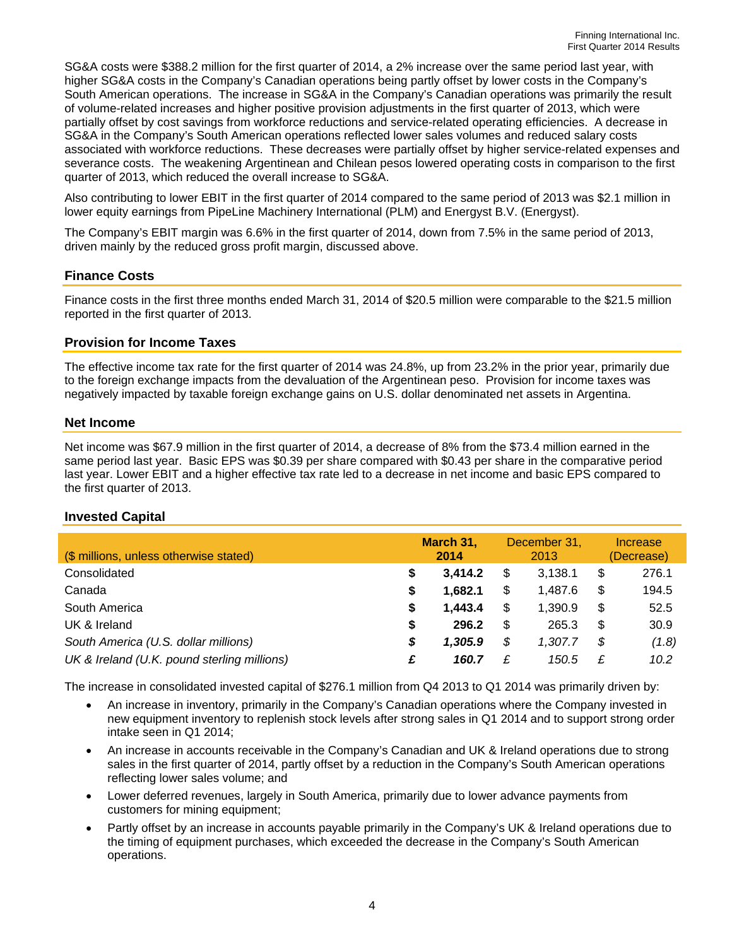SG&A costs were \$388.2 million for the first quarter of 2014, a 2% increase over the same period last year, with higher SG&A costs in the Company's Canadian operations being partly offset by lower costs in the Company's South American operations. The increase in SG&A in the Company's Canadian operations was primarily the result of volume-related increases and higher positive provision adjustments in the first quarter of 2013, which were partially offset by cost savings from workforce reductions and service-related operating efficiencies. A decrease in SG&A in the Company's South American operations reflected lower sales volumes and reduced salary costs associated with workforce reductions. These decreases were partially offset by higher service-related expenses and severance costs. The weakening Argentinean and Chilean pesos lowered operating costs in comparison to the first quarter of 2013, which reduced the overall increase to SG&A.

Also contributing to lower EBIT in the first quarter of 2014 compared to the same period of 2013 was \$2.1 million in lower equity earnings from PipeLine Machinery International (PLM) and Energyst B.V. (Energyst).

The Company's EBIT margin was 6.6% in the first quarter of 2014, down from 7.5% in the same period of 2013, driven mainly by the reduced gross profit margin, discussed above.

## **Finance Costs**

Finance costs in the first three months ended March 31, 2014 of \$20.5 million were comparable to the \$21.5 million reported in the first quarter of 2013.

#### **Provision for Income Taxes**

The effective income tax rate for the first quarter of 2014 was 24.8%, up from 23.2% in the prior year, primarily due to the foreign exchange impacts from the devaluation of the Argentinean peso. Provision for income taxes was negatively impacted by taxable foreign exchange gains on U.S. dollar denominated net assets in Argentina.

#### **Net Income**

Net income was \$67.9 million in the first quarter of 2014, a decrease of 8% from the \$73.4 million earned in the same period last year. Basic EPS was \$0.39 per share compared with \$0.43 per share in the comparative period last year. Lower EBIT and a higher effective tax rate led to a decrease in net income and basic EPS compared to the first quarter of 2013.

## **Invested Capital**

| (\$ millions, unless otherwise stated)      |    | March 31,<br>2014 |    | December 31,<br>2013 |    | Increase<br>(Decrease) |
|---------------------------------------------|----|-------------------|----|----------------------|----|------------------------|
| Consolidated                                | S  | 3,414.2           | S. | 3.138.1              | \$ | 276.1                  |
| Canada                                      | S  | 1.682.1           | S. | 1.487.6              | \$ | 194.5                  |
| South America                               | \$ | 1.443.4           | S  | 1.390.9              | \$ | 52.5                   |
| UK & Ireland                                | S  | 296.2             | S  | 265.3                | \$ | 30.9                   |
| South America (U.S. dollar millions)        | S  | 1,305.9           | \$ | 1.307.7              | \$ | (1.8)                  |
| UK & Ireland (U.K. pound sterling millions) | £  | 160.7             | £  | 150.5                | £  | 10.2                   |

The increase in consolidated invested capital of \$276.1 million from Q4 2013 to Q1 2014 was primarily driven by:

- An increase in inventory, primarily in the Company's Canadian operations where the Company invested in new equipment inventory to replenish stock levels after strong sales in Q1 2014 and to support strong order intake seen in Q1 2014;
- An increase in accounts receivable in the Company's Canadian and UK & Ireland operations due to strong sales in the first quarter of 2014, partly offset by a reduction in the Company's South American operations reflecting lower sales volume; and
- Lower deferred revenues, largely in South America, primarily due to lower advance payments from customers for mining equipment;
- Partly offset by an increase in accounts payable primarily in the Company's UK & Ireland operations due to the timing of equipment purchases, which exceeded the decrease in the Company's South American operations.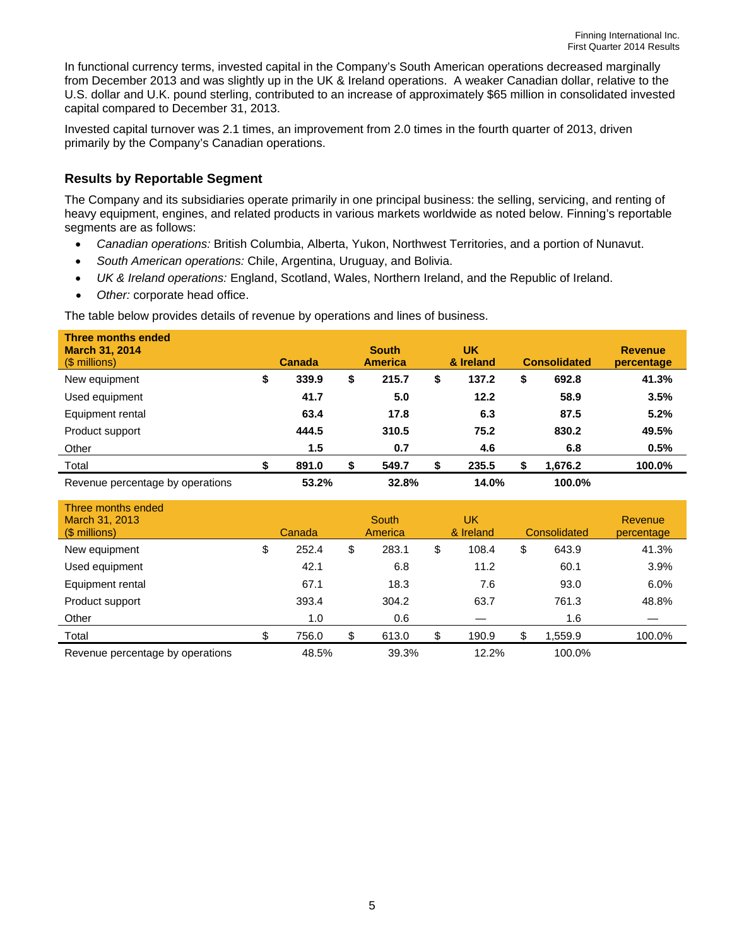In functional currency terms, invested capital in the Company's South American operations decreased marginally from December 2013 and was slightly up in the UK & Ireland operations. A weaker Canadian dollar, relative to the U.S. dollar and U.K. pound sterling, contributed to an increase of approximately \$65 million in consolidated invested capital compared to December 31, 2013.

Invested capital turnover was 2.1 times, an improvement from 2.0 times in the fourth quarter of 2013, driven primarily by the Company's Canadian operations.

## **Results by Reportable Segment**

The Company and its subsidiaries operate primarily in one principal business: the selling, servicing, and renting of heavy equipment, engines, and related products in various markets worldwide as noted below. Finning's reportable segments are as follows:

- *Canadian operations:* British Columbia, Alberta, Yukon, Northwest Territories, and a portion of Nunavut.
- *South American operations:* Chile, Argentina, Uruguay, and Bolivia.
- *UK & Ireland operations:* England, Scotland, Wales, Northern Ireland, and the Republic of Ireland.
- *Other:* corporate head office.

The table below provides details of revenue by operations and lines of business.

| <b>Three months ended</b><br><b>March 31, 2014</b><br>$(S$ millions) |    | <b>Canada</b> | <b>South</b><br><b>America</b> |   | <b>UK</b><br>& Ireland | <b>Consolidated</b> | <b>Revenue</b><br>percentage |
|----------------------------------------------------------------------|----|---------------|--------------------------------|---|------------------------|---------------------|------------------------------|
| New equipment                                                        | \$ | 339.9         | \$<br>215.7                    | S | 137.2                  | \$<br>692.8         | 41.3%                        |
| Used equipment                                                       |    | 41.7          | 5.0                            |   | 12.2                   | 58.9                | 3.5%                         |
| Equipment rental                                                     |    | 63.4          | 17.8                           |   | 6.3                    | 87.5                | 5.2%                         |
| Product support                                                      |    | 444.5         | 310.5                          |   | 75.2                   | 830.2               | 49.5%                        |
| Other                                                                |    | 1.5           | 0.7                            |   | 4.6                    | 6.8                 | 0.5%                         |
| Total                                                                | S  | 891.0         | 549.7                          |   | 235.5                  | 1,676.2             | 100.0%                       |
| Revenue percentage by operations                                     |    | 53.2%         | 32.8%                          |   | 14.0%                  | 100.0%              |                              |

| Three months ended<br>March 31, 2013<br>$(S$ millions) | Canada      | <b>South</b><br>America |    | UK<br>& Ireland | Consolidated | <b>Revenue</b><br>percentage |
|--------------------------------------------------------|-------------|-------------------------|----|-----------------|--------------|------------------------------|
| New equipment                                          | \$<br>252.4 | \$<br>283.1             | \$ | 108.4           | \$<br>643.9  | 41.3%                        |
| Used equipment                                         | 42.1        | 6.8                     |    | 11.2            | 60.1         | 3.9%                         |
| Equipment rental                                       | 67.1        | 18.3                    |    | 7.6             | 93.0         | 6.0%                         |
| Product support                                        | 393.4       | 304.2                   |    | 63.7            | 761.3        | 48.8%                        |
| Other                                                  | 1.0         | 0.6                     |    |                 | 1.6          |                              |
| Total                                                  | \$<br>756.0 | \$<br>613.0             | S  | 190.9           | 1,559.9      | 100.0%                       |
| Revenue percentage by operations                       | 48.5%       | 39.3%                   |    | 12.2%           | 100.0%       |                              |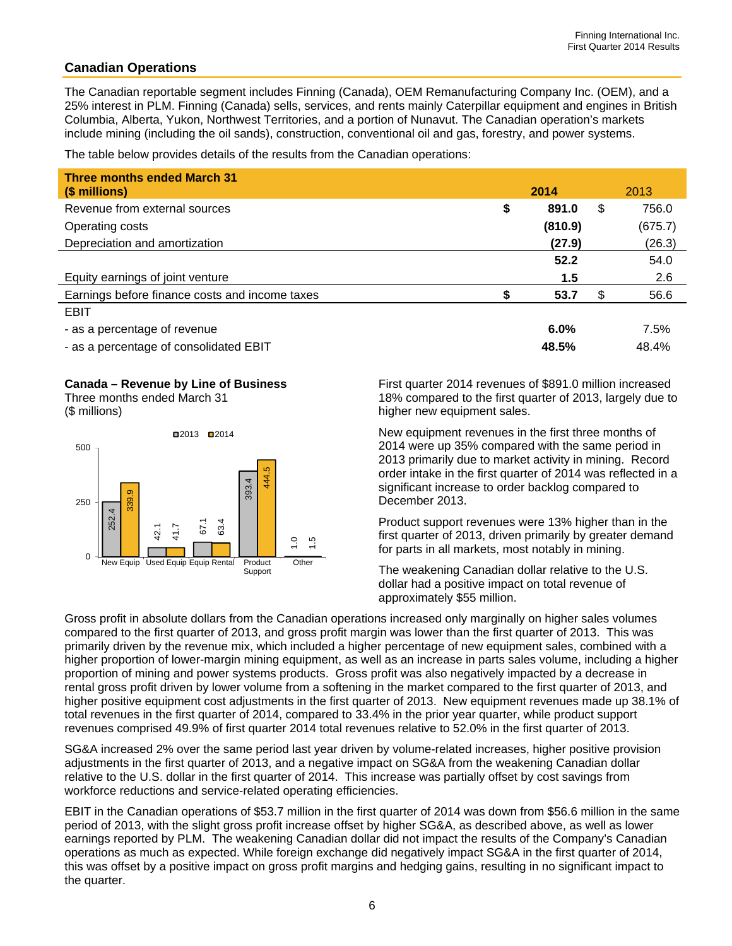## **Canadian Operations**

The Canadian reportable segment includes Finning (Canada), OEM Remanufacturing Company Inc. (OEM), and a 25% interest in PLM. Finning (Canada) sells, services, and rents mainly Caterpillar equipment and engines in British Columbia, Alberta, Yukon, Northwest Territories, and a portion of Nunavut. The Canadian operation's markets include mining (including the oil sands), construction, conventional oil and gas, forestry, and power systems.

The table below provides details of the results from the Canadian operations:

| <b>Three months ended March 31</b>             |      |         |             |
|------------------------------------------------|------|---------|-------------|
| (\$ millions)                                  | 2014 |         | 2013        |
| Revenue from external sources                  | \$   | 891.0   | \$<br>756.0 |
| Operating costs                                |      | (810.9) | (675.7)     |
| Depreciation and amortization                  |      | (27.9)  | (26.3)      |
|                                                |      | 52.2    | 54.0        |
| Equity earnings of joint venture               |      | 1.5     | 2.6         |
| Earnings before finance costs and income taxes |      | 53.7    | \$<br>56.6  |
| <b>EBIT</b>                                    |      |         |             |
| - as a percentage of revenue                   |      | $6.0\%$ | 7.5%        |
| - as a percentage of consolidated EBIT         |      | 48.5%   | 48.4%       |

#### **Canada – Revenue by Line of Business**

Three months ended March 31 (\$ millions)



First quarter 2014 revenues of \$891.0 million increased 18% compared to the first quarter of 2013, largely due to higher new equipment sales.

New equipment revenues in the first three months of 2014 were up 35% compared with the same period in 2013 primarily due to market activity in mining. Record order intake in the first quarter of 2014 was reflected in a significant increase to order backlog compared to December 2013.

Product support revenues were 13% higher than in the first quarter of 2013, driven primarily by greater demand for parts in all markets, most notably in mining.

The weakening Canadian dollar relative to the U.S. dollar had a positive impact on total revenue of approximately \$55 million.

Gross profit in absolute dollars from the Canadian operations increased only marginally on higher sales volumes compared to the first quarter of 2013, and gross profit margin was lower than the first quarter of 2013. This was primarily driven by the revenue mix, which included a higher percentage of new equipment sales, combined with a higher proportion of lower-margin mining equipment, as well as an increase in parts sales volume, including a higher proportion of mining and power systems products. Gross profit was also negatively impacted by a decrease in rental gross profit driven by lower volume from a softening in the market compared to the first quarter of 2013, and higher positive equipment cost adjustments in the first quarter of 2013. New equipment revenues made up 38.1% of total revenues in the first quarter of 2014, compared to 33.4% in the prior year quarter, while product support revenues comprised 49.9% of first quarter 2014 total revenues relative to 52.0% in the first quarter of 2013. Gross profit<br>
Cross profit<br>
compared to<br>
primarily drive<br>
higher proportion of<br>
rental gross<br>
higher positi<br>
total revenues co<br>
SG&A increases<br>
SG&A increases<br>
adjustments<br>
relative to the<br>
workforce re<br>
EBIT in the (<br>
per

SG&A increased 2% over the same period last year driven by volume-related increases, higher positive provision adjustments in the first quarter of 2013, and a negative impact on SG&A from the weakening Canadian dollar relative to the U.S. dollar in the first quarter of 2014. This increase was partially offset by cost savings from workforce reductions and service-related operating efficiencies.

EBIT in the Canadian operations of \$53.7 million in the first quarter of 2014 was down from \$56.6 million in the same period of 2013, with the slight gross profit increase offset by higher SG&A, as described above, as well as lower earnings reported by PLM. The weakening Canadian dollar did not impact the results of the Company's Canadian operations as much as expected. While foreign exchange did negatively impact SG&A in the first quarter of 2014, this was offset by a positive impact on gross profit margins and hedging gains, resulting in no significant impact to the quarter.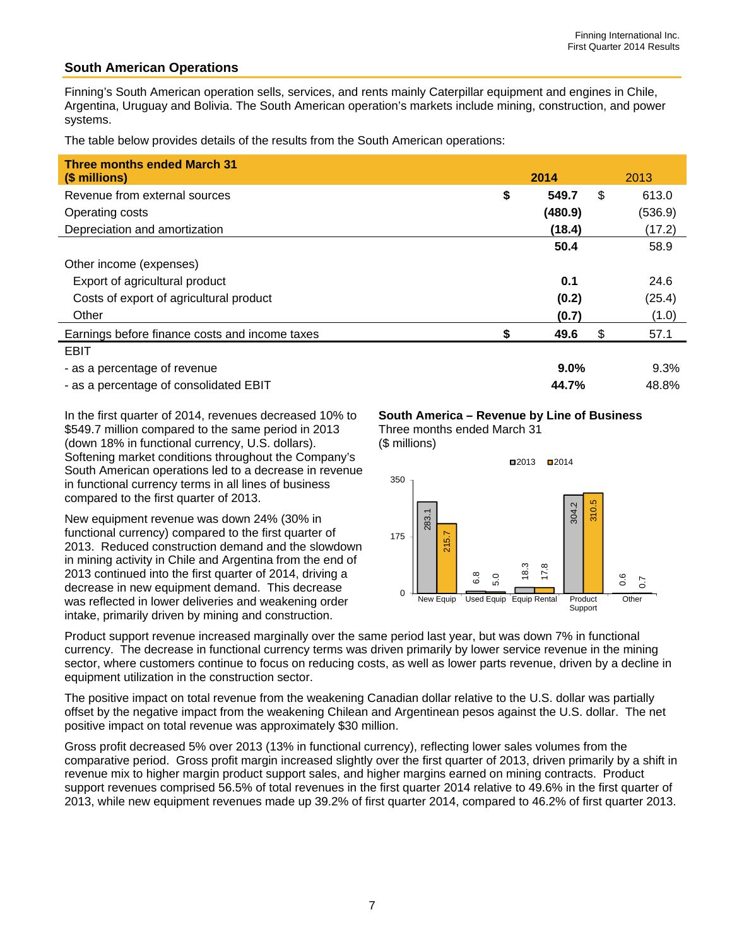## **South American Operations**

Finning's South American operation sells, services, and rents mainly Caterpillar equipment and engines in Chile, Argentina, Uruguay and Bolivia. The South American operation's markets include mining, construction, and power systems.

The table below provides details of the results from the South American operations:

| <b>Three months ended March 31</b><br>(\$ millions) | 2014        | 2013        |
|-----------------------------------------------------|-------------|-------------|
| Revenue from external sources                       | \$<br>549.7 | \$<br>613.0 |
| Operating costs                                     | (480.9)     | (536.9)     |
| Depreciation and amortization                       | (18.4)      | (17.2)      |
|                                                     | 50.4        | 58.9        |
| Other income (expenses)                             |             |             |
| Export of agricultural product                      | 0.1         | 24.6        |
| Costs of export of agricultural product             | (0.2)       | (25.4)      |
| Other                                               | (0.7)       | (1.0)       |
| Earnings before finance costs and income taxes      | 49.6        | \$<br>57.1  |
| <b>EBIT</b>                                         |             |             |
| - as a percentage of revenue                        | $9.0\%$     | 9.3%        |
|                                                     |             |             |

- as a percentage of consolidated EBIT **44.7%** 48.8%

In the first quarter of 2014, revenues decreased 10% to \$549.7 million compared to the same period in 2013 (down 18% in functional currency, U.S. dollars). Softening market conditions throughout the Company's South American operations led to a decrease in revenue in functional currency terms in all lines of business compared to the first quarter of 2013.

New equipment revenue was down 24% (30% in functional currency) compared to the first quarter of 2013. Reduced construction demand and the slowdown in mining activity in Chile and Argentina from the end of 2013 continued into the first quarter of 2014, driving a decrease in new equipment demand. This decrease was reflected in lower deliveries and weakening order intake, primarily driven by mining and construction.

#### **South America – Revenue by Line of Business**

Three months ended March 31





Product support revenue increased marginally over the same period last year, but was down 7% in functional currency. The decrease in functional currency terms was driven primarily by lower service revenue in the mining sector, where customers continue to focus on reducing costs, as well as lower parts revenue, driven by a decline in equipment utilization in the construction sector.

The positive impact on total revenue from the weakening Canadian dollar relative to the U.S. dollar was partially offset by the negative impact from the weakening Chilean and Argentinean pesos against the U.S. dollar. The net positive impact on total revenue was approximately \$30 million.

Gross profit decreased 5% over 2013 (13% in functional currency), reflecting lower sales volumes from the comparative period. Gross profit margin increased slightly over the first quarter of 2013, driven primarily by a shift in revenue mix to higher margin product support sales, and higher margins earned on mining contracts. Product support revenues comprised 56.5% of total revenues in the first quarter 2014 relative to 49.6% in the first quarter of 2013, while new equipment revenues made up 39.2% of first quarter 2014, compared to 46.2% of first quarter 2013.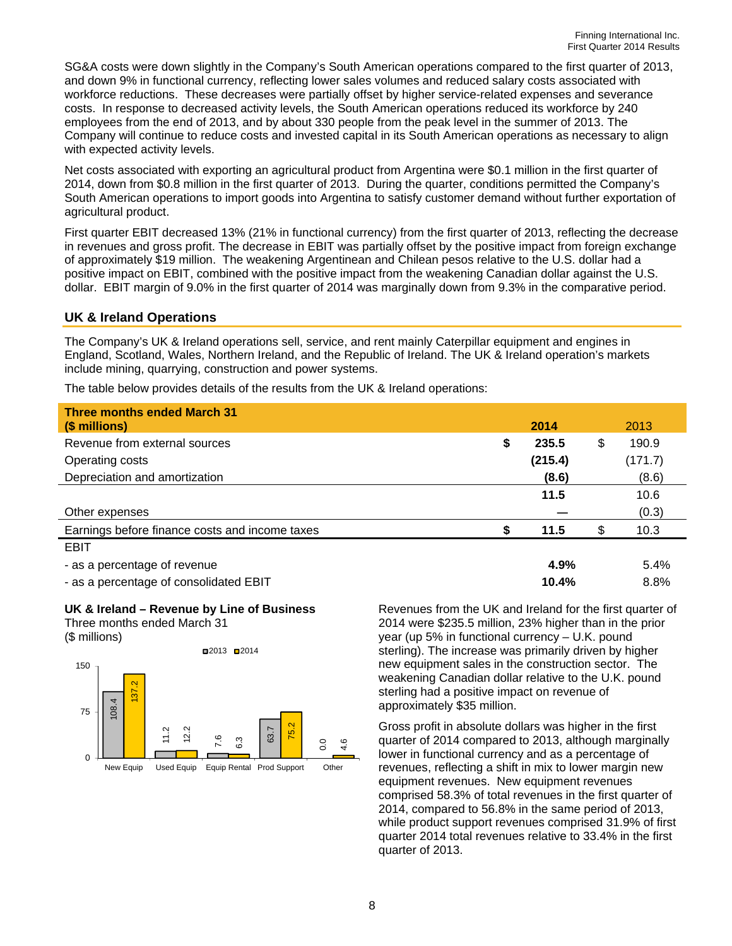SG&A costs were down slightly in the Company's South American operations compared to the first quarter of 2013, and down 9% in functional currency, reflecting lower sales volumes and reduced salary costs associated with workforce reductions. These decreases were partially offset by higher service-related expenses and severance costs. In response to decreased activity levels, the South American operations reduced its workforce by 240 employees from the end of 2013, and by about 330 people from the peak level in the summer of 2013. The Company will continue to reduce costs and invested capital in its South American operations as necessary to align with expected activity levels.

Net costs associated with exporting an agricultural product from Argentina were \$0.1 million in the first quarter of 2014, down from \$0.8 million in the first quarter of 2013. During the quarter, conditions permitted the Company's South American operations to import goods into Argentina to satisfy customer demand without further exportation of agricultural product.

First quarter EBIT decreased 13% (21% in functional currency) from the first quarter of 2013, reflecting the decrease in revenues and gross profit. The decrease in EBIT was partially offset by the positive impact from foreign exchange of approximately \$19 million. The weakening Argentinean and Chilean pesos relative to the U.S. dollar had a positive impact on EBIT, combined with the positive impact from the weakening Canadian dollar against the U.S. dollar. EBIT margin of 9.0% in the first quarter of 2014 was marginally down from 9.3% in the comparative period.

#### **UK & Ireland Operations**

The Company's UK & Ireland operations sell, service, and rent mainly Caterpillar equipment and engines in England, Scotland, Wales, Northern Ireland, and the Republic of Ireland. The UK & Ireland operation's markets include mining, quarrying, construction and power systems.

The table below provides details of the results from the UK & Ireland operations:

| <b>Three months ended March 31</b><br>(\$ millions) | 2014                     | 2013        |
|-----------------------------------------------------|--------------------------|-------------|
| Revenue from external sources                       | \$<br>235.5              | \$<br>190.9 |
| Operating costs                                     | (215.4)                  | (171.7)     |
| Depreciation and amortization                       | (8.6)                    | (8.6)       |
|                                                     | 11.5                     | 10.6        |
| Other expenses                                      |                          | (0.3)       |
| Earnings before finance costs and income taxes      | 11.5                     | \$<br>10.3  |
| <b>EBIT</b>                                         |                          |             |
| - as a percentage of revenue                        | 4.9%                     | 5.4%        |
| the communications of the contribution in FINIT     | $\overline{\phantom{a}}$ | 0.001       |

- as a percentage of consolidated EBIT **10.4%** 8.8%

#### **UK & Ireland – Revenue by Line of Business**

Three months ended March 31

(\$ millions)



Revenues from the UK and Ireland for the first quarter of 2014 were \$235.5 million, 23% higher than in the prior year (up 5% in functional currency – U.K. pound sterling). The increase was primarily driven by higher new equipment sales in the construction sector. The weakening Canadian dollar relative to the U.K. pound sterling had a positive impact on revenue of approximately \$35 million.

Gross profit in absolute dollars was higher in the first quarter of 2014 compared to 2013, although marginally lower in functional currency and as a percentage of revenues, reflecting a shift in mix to lower margin new equipment revenues. New equipment revenues comprised 58.3% of total revenues in the first quarter of 2014, compared to 56.8% in the same period of 2013, while product support revenues comprised 31.9% of first quarter 2014 total revenues relative to 33.4% in the first quarter of 2013.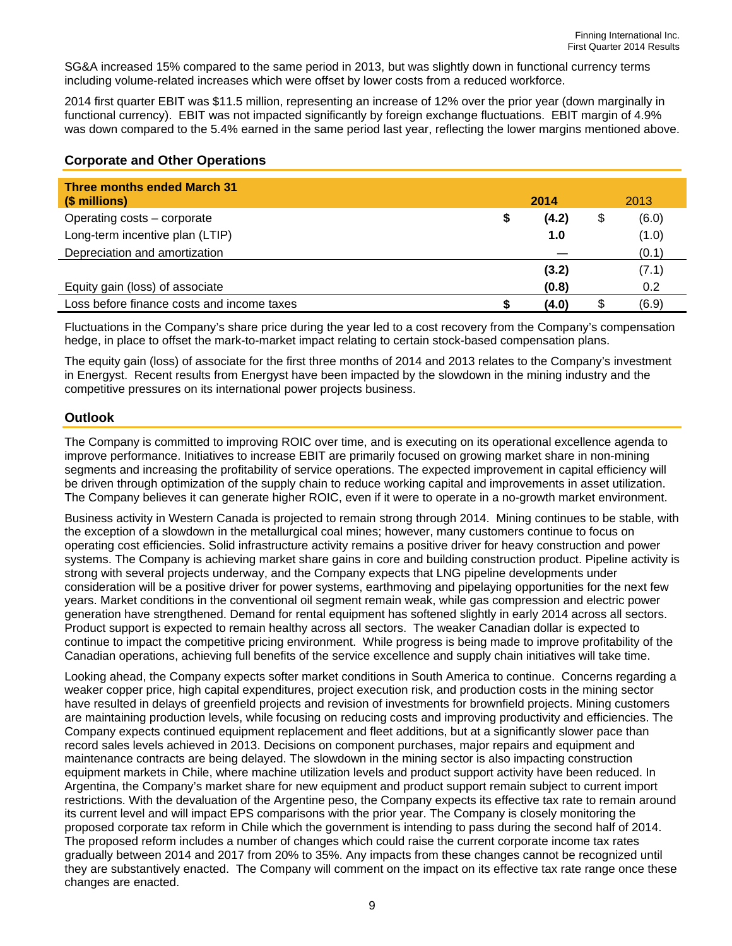SG&A increased 15% compared to the same period in 2013, but was slightly down in functional currency terms including volume-related increases which were offset by lower costs from a reduced workforce.

2014 first quarter EBIT was \$11.5 million, representing an increase of 12% over the prior year (down marginally in functional currency). EBIT was not impacted significantly by foreign exchange fluctuations. EBIT margin of 4.9% was down compared to the 5.4% earned in the same period last year, reflecting the lower margins mentioned above.

## **Corporate and Other Operations**

| <b>Three months ended March 31</b><br>(\$ millions) | 2014  |    | 2013  |
|-----------------------------------------------------|-------|----|-------|
| Operating costs – corporate                         | (4.2) | \$ | (6.0) |
| Long-term incentive plan (LTIP)                     | 1.0   |    | (1.0) |
| Depreciation and amortization                       |       |    | (0.1) |
|                                                     | (3.2) |    | (7.1) |
| Equity gain (loss) of associate                     | (0.8) |    | 0.2   |
| Loss before finance costs and income taxes          | (4.0) | S  | (6.9) |

Fluctuations in the Company's share price during the year led to a cost recovery from the Company's compensation hedge, in place to offset the mark-to-market impact relating to certain stock-based compensation plans.

The equity gain (loss) of associate for the first three months of 2014 and 2013 relates to the Company's investment in Energyst. Recent results from Energyst have been impacted by the slowdown in the mining industry and the competitive pressures on its international power projects business.

## **Outlook**

The Company is committed to improving ROIC over time, and is executing on its operational excellence agenda to improve performance. Initiatives to increase EBIT are primarily focused on growing market share in non-mining segments and increasing the profitability of service operations. The expected improvement in capital efficiency will be driven through optimization of the supply chain to reduce working capital and improvements in asset utilization. The Company believes it can generate higher ROIC, even if it were to operate in a no-growth market environment.

Business activity in Western Canada is projected to remain strong through 2014. Mining continues to be stable, with the exception of a slowdown in the metallurgical coal mines; however, many customers continue to focus on operating cost efficiencies. Solid infrastructure activity remains a positive driver for heavy construction and power systems. The Company is achieving market share gains in core and building construction product. Pipeline activity is strong with several projects underway, and the Company expects that LNG pipeline developments under consideration will be a positive driver for power systems, earthmoving and pipelaying opportunities for the next few years. Market conditions in the conventional oil segment remain weak, while gas compression and electric power generation have strengthened. Demand for rental equipment has softened slightly in early 2014 across all sectors. Product support is expected to remain healthy across all sectors. The weaker Canadian dollar is expected to continue to impact the competitive pricing environment. While progress is being made to improve profitability of the Canadian operations, achieving full benefits of the service excellence and supply chain initiatives will take time.

Looking ahead, the Company expects softer market conditions in South America to continue. Concerns regarding a weaker copper price, high capital expenditures, project execution risk, and production costs in the mining sector have resulted in delays of greenfield projects and revision of investments for brownfield projects. Mining customers are maintaining production levels, while focusing on reducing costs and improving productivity and efficiencies. The Company expects continued equipment replacement and fleet additions, but at a significantly slower pace than record sales levels achieved in 2013. Decisions on component purchases, major repairs and equipment and maintenance contracts are being delayed. The slowdown in the mining sector is also impacting construction equipment markets in Chile, where machine utilization levels and product support activity have been reduced. In Argentina, the Company's market share for new equipment and product support remain subject to current import restrictions. With the devaluation of the Argentine peso, the Company expects its effective tax rate to remain around its current level and will impact EPS comparisons with the prior year. The Company is closely monitoring the proposed corporate tax reform in Chile which the government is intending to pass during the second half of 2014. The proposed reform includes a number of changes which could raise the current corporate income tax rates gradually between 2014 and 2017 from 20% to 35%. Any impacts from these changes cannot be recognized until they are substantively enacted. The Company will comment on the impact on its effective tax rate range once these changes are enacted.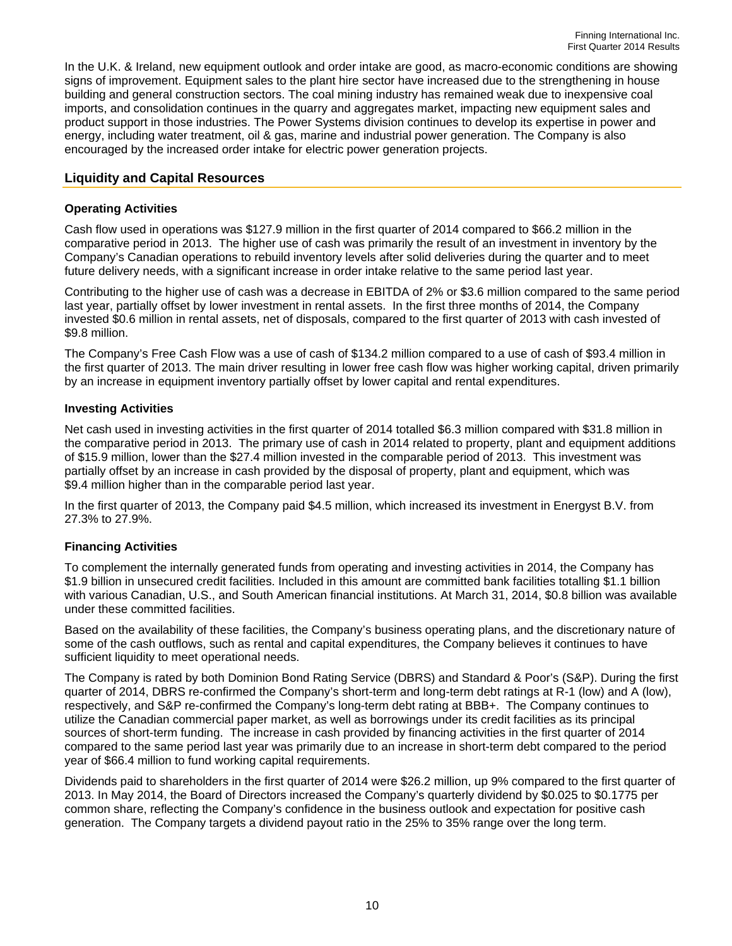In the U.K. & Ireland, new equipment outlook and order intake are good, as macro-economic conditions are showing signs of improvement. Equipment sales to the plant hire sector have increased due to the strengthening in house building and general construction sectors. The coal mining industry has remained weak due to inexpensive coal imports, and consolidation continues in the quarry and aggregates market, impacting new equipment sales and product support in those industries. The Power Systems division continues to develop its expertise in power and energy, including water treatment, oil & gas, marine and industrial power generation. The Company is also encouraged by the increased order intake for electric power generation projects.

#### **Liquidity and Capital Resources**

#### **Operating Activities**

Cash flow used in operations was \$127.9 million in the first quarter of 2014 compared to \$66.2 million in the comparative period in 2013. The higher use of cash was primarily the result of an investment in inventory by the Company's Canadian operations to rebuild inventory levels after solid deliveries during the quarter and to meet future delivery needs, with a significant increase in order intake relative to the same period last year.

Contributing to the higher use of cash was a decrease in EBITDA of 2% or \$3.6 million compared to the same period last year, partially offset by lower investment in rental assets. In the first three months of 2014, the Company invested \$0.6 million in rental assets, net of disposals, compared to the first quarter of 2013 with cash invested of \$9.8 million.

The Company's Free Cash Flow was a use of cash of \$134.2 million compared to a use of cash of \$93.4 million in the first quarter of 2013. The main driver resulting in lower free cash flow was higher working capital, driven primarily by an increase in equipment inventory partially offset by lower capital and rental expenditures.

#### **Investing Activities**

Net cash used in investing activities in the first quarter of 2014 totalled \$6.3 million compared with \$31.8 million in the comparative period in 2013. The primary use of cash in 2014 related to property, plant and equipment additions of \$15.9 million, lower than the \$27.4 million invested in the comparable period of 2013. This investment was partially offset by an increase in cash provided by the disposal of property, plant and equipment, which was \$9.4 million higher than in the comparable period last year.

In the first quarter of 2013, the Company paid \$4.5 million, which increased its investment in Energyst B.V. from 27.3% to 27.9%.

#### **Financing Activities**

To complement the internally generated funds from operating and investing activities in 2014, the Company has \$1.9 billion in unsecured credit facilities. Included in this amount are committed bank facilities totalling \$1.1 billion with various Canadian, U.S., and South American financial institutions. At March 31, 2014, \$0.8 billion was available under these committed facilities.

Based on the availability of these facilities, the Company's business operating plans, and the discretionary nature of some of the cash outflows, such as rental and capital expenditures, the Company believes it continues to have sufficient liquidity to meet operational needs.

The Company is rated by both Dominion Bond Rating Service (DBRS) and Standard & Poor's (S&P). During the first quarter of 2014, DBRS re-confirmed the Company's short-term and long-term debt ratings at R-1 (low) and A (low), respectively, and S&P re-confirmed the Company's long-term debt rating at BBB+. The Company continues to utilize the Canadian commercial paper market, as well as borrowings under its credit facilities as its principal sources of short-term funding. The increase in cash provided by financing activities in the first quarter of 2014 compared to the same period last year was primarily due to an increase in short-term debt compared to the period year of \$66.4 million to fund working capital requirements.

Dividends paid to shareholders in the first quarter of 2014 were \$26.2 million, up 9% compared to the first quarter of 2013. In May 2014, the Board of Directors increased the Company's quarterly dividend by \$0.025 to \$0.1775 per common share, reflecting the Company's confidence in the business outlook and expectation for positive cash generation. The Company targets a dividend payout ratio in the 25% to 35% range over the long term.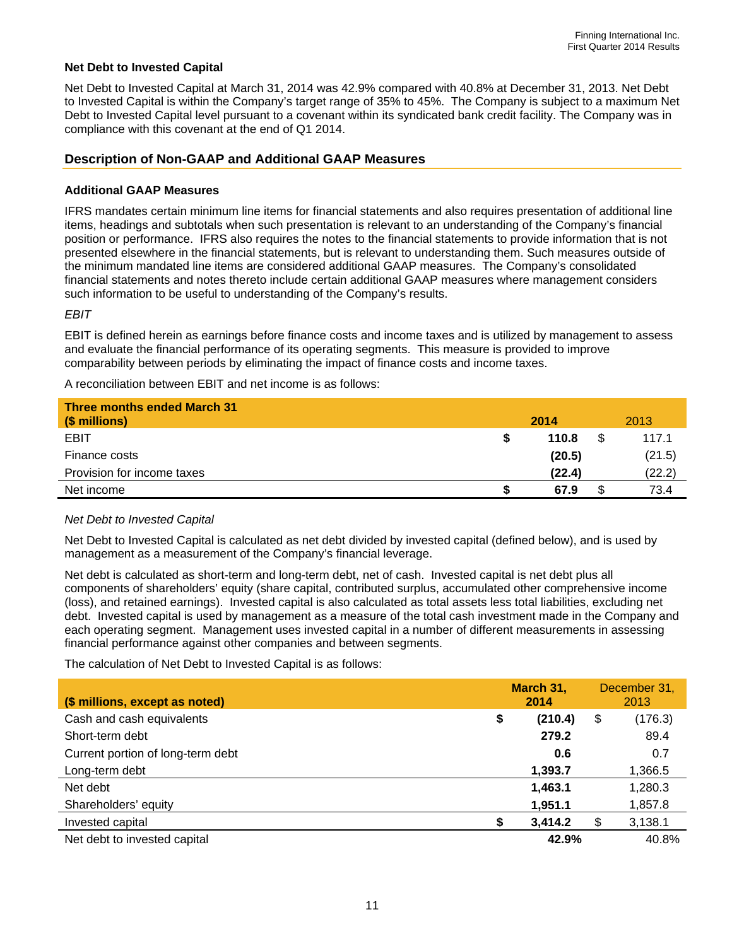#### **Net Debt to Invested Capital**

Net Debt to Invested Capital at March 31, 2014 was 42.9% compared with 40.8% at December 31, 2013. Net Debt to Invested Capital is within the Company's target range of 35% to 45%. The Company is subject to a maximum Net Debt to Invested Capital level pursuant to a covenant within its syndicated bank credit facility. The Company was in compliance with this covenant at the end of Q1 2014.

### **Description of Non-GAAP and Additional GAAP Measures**

#### **Additional GAAP Measures**

IFRS mandates certain minimum line items for financial statements and also requires presentation of additional line items, headings and subtotals when such presentation is relevant to an understanding of the Company's financial position or performance. IFRS also requires the notes to the financial statements to provide information that is not presented elsewhere in the financial statements, but is relevant to understanding them. Such measures outside of the minimum mandated line items are considered additional GAAP measures. The Company's consolidated financial statements and notes thereto include certain additional GAAP measures where management considers such information to be useful to understanding of the Company's results.

*EBIT* 

EBIT is defined herein as earnings before finance costs and income taxes and is utilized by management to assess and evaluate the financial performance of its operating segments. This measure is provided to improve comparability between periods by eliminating the impact of finance costs and income taxes.

A reconciliation between EBIT and net income is as follows:

| <b>Three months ended March 31</b><br>(\$ millions) | 2014   |    | 2013   |
|-----------------------------------------------------|--------|----|--------|
| <b>EBIT</b>                                         | 110.8  | -S | 117.1  |
| Finance costs                                       | (20.5) |    | (21.5) |
| Provision for income taxes                          | (22.4) |    | (22.2) |
| Net income                                          | 67.9   |    | 73.4   |

#### *Net Debt to Invested Capital*

Net Debt to Invested Capital is calculated as net debt divided by invested capital (defined below), and is used by management as a measurement of the Company's financial leverage.

Net debt is calculated as short-term and long-term debt, net of cash. Invested capital is net debt plus all components of shareholders' equity (share capital, contributed surplus, accumulated other comprehensive income (loss), and retained earnings). Invested capital is also calculated as total assets less total liabilities, excluding net debt. Invested capital is used by management as a measure of the total cash investment made in the Company and each operating segment. Management uses invested capital in a number of different measurements in assessing financial performance against other companies and between segments.

The calculation of Net Debt to Invested Capital is as follows:

| (\$ millions, except as noted)    |    | March 31,<br>2014 | December 31,<br>2013 |
|-----------------------------------|----|-------------------|----------------------|
| Cash and cash equivalents         | \$ | (210.4)           | \$<br>(176.3)        |
| Short-term debt                   |    | 279.2             | 89.4                 |
| Current portion of long-term debt |    | 0.6               | 0.7                  |
| Long-term debt                    |    | 1,393.7           | 1,366.5              |
| Net debt                          |    | 1,463.1           | 1,280.3              |
| Shareholders' equity              |    | 1,951.1           | 1,857.8              |
| Invested capital                  | S  | 3,414.2           | \$<br>3,138.1        |
| Net debt to invested capital      |    | 42.9%             | 40.8%                |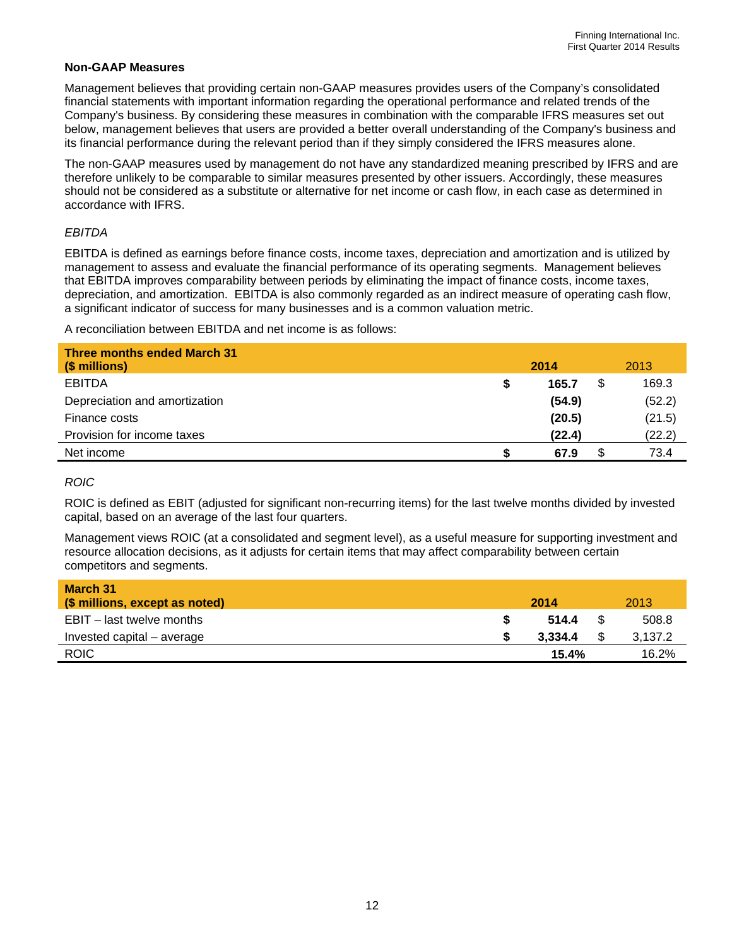#### **Non-GAAP Measures**

Management believes that providing certain non-GAAP measures provides users of the Company's consolidated financial statements with important information regarding the operational performance and related trends of the Company's business. By considering these measures in combination with the comparable IFRS measures set out below, management believes that users are provided a better overall understanding of the Company's business and its financial performance during the relevant period than if they simply considered the IFRS measures alone.

The non-GAAP measures used by management do not have any standardized meaning prescribed by IFRS and are therefore unlikely to be comparable to similar measures presented by other issuers. Accordingly, these measures should not be considered as a substitute or alternative for net income or cash flow, in each case as determined in accordance with IFRS.

#### *EBITDA*

EBITDA is defined as earnings before finance costs, income taxes, depreciation and amortization and is utilized by management to assess and evaluate the financial performance of its operating segments. Management believes that EBITDA improves comparability between periods by eliminating the impact of finance costs, income taxes, depreciation, and amortization. EBITDA is also commonly regarded as an indirect measure of operating cash flow, a significant indicator of success for many businesses and is a common valuation metric.

A reconciliation between EBITDA and net income is as follows:

| <b>Three months ended March 31</b><br>(\$ millions) | 2014   |   | 2013   |
|-----------------------------------------------------|--------|---|--------|
| <b>EBITDA</b>                                       | 165.7  | S | 169.3  |
| Depreciation and amortization                       | (54.9) |   | (52.2) |
| Finance costs                                       | (20.5) |   | (21.5) |
| Provision for income taxes                          | (22.4) |   | (22.2) |
| Net income                                          | 67.9   | S | 73.4   |

#### *ROIC*

ROIC is defined as EBIT (adjusted for significant non-recurring items) for the last twelve months divided by invested capital, based on an average of the last four quarters.

Management views ROIC (at a consolidated and segment level), as a useful measure for supporting investment and resource allocation decisions, as it adjusts for certain items that may affect comparability between certain competitors and segments.

| March 31<br>(\$ millions, except as noted) | 2014    | 2013    |
|--------------------------------------------|---------|---------|
| EBIT – last twelve months                  | 514.4   | 508.8   |
| Invested capital – average                 | 3.334.4 | 3,137.2 |
| <b>ROIC</b>                                | 15.4%   | 16.2%   |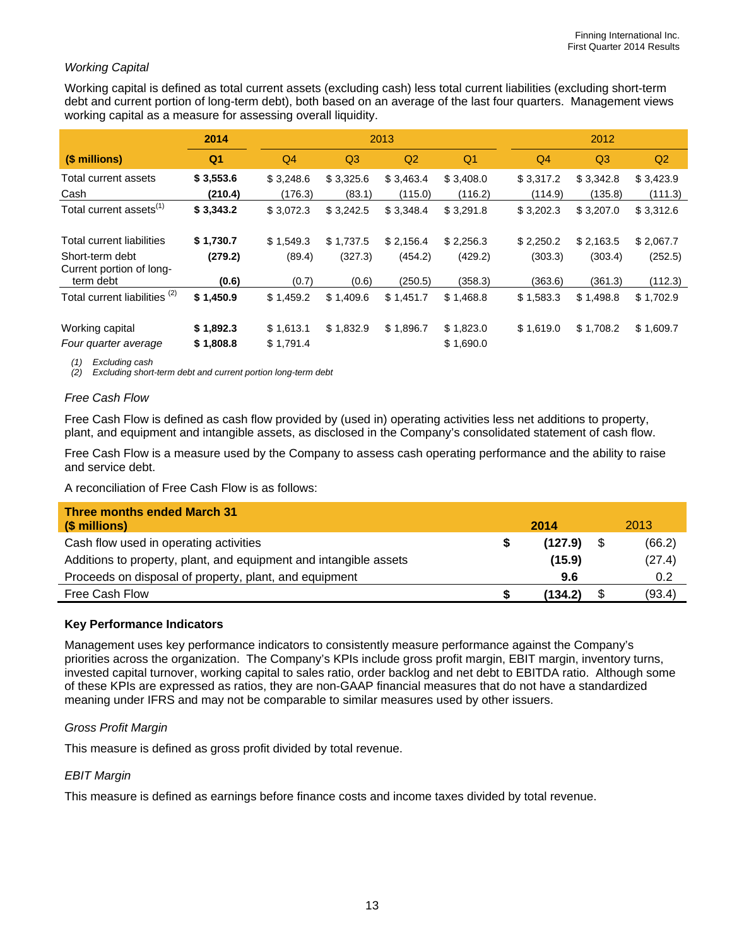## *Working Capital*

Working capital is defined as total current assets (excluding cash) less total current liabilities (excluding short-term debt and current portion of long-term debt), both based on an average of the last four quarters. Management views working capital as a measure for assessing overall liquidity.

|                                             | 2014           | 2013      |                |           |           | 2012      |                |           |
|---------------------------------------------|----------------|-----------|----------------|-----------|-----------|-----------|----------------|-----------|
| (\$ millions)                               | Q <sub>1</sub> | Q4        | Q <sub>3</sub> | Q2        | Q1        | Q4        | Q <sub>3</sub> | Q2        |
| Total current assets                        | \$3,553.6      | \$3,248.6 | \$3,325.6      | \$3,463.4 | \$3,408.0 | \$3,317.2 | \$3,342.8      | \$3,423.9 |
| Cash                                        | (210.4)        | (176.3)   | (83.1)         | (115.0)   | (116.2)   | (114.9)   | (135.8)        | (111.3)   |
| Total current assets <sup>(1)</sup>         | \$3,343.2      | \$3,072.3 | \$3,242.5      | \$3,348.4 | \$3,291.8 | \$3,202.3 | \$3,207.0      | \$3,312.6 |
| Total current liabilities                   | \$1,730.7      | \$1,549.3 | \$1,737.5      | \$2.156.4 | \$2,256.3 | \$2,250.2 | \$2,163.5      | \$2,067.7 |
| Short-term debt<br>Current portion of long- | (279.2)        | (89.4)    | (327.3)        | (454.2)   | (429.2)   | (303.3)   | (303.4)        | (252.5)   |
| term debt                                   | (0.6)          | (0.7)     | (0.6)          | (250.5)   | (358.3)   | (363.6)   | (361.3)        | (112.3)   |
| Total current liabilities <sup>(2)</sup>    | \$1,450.9      | \$1,459.2 | \$1,409.6      | \$1,451.7 | \$1,468.8 | \$1,583.3 | \$1,498.8      | \$1,702.9 |
| Working capital                             | \$1,892.3      | \$1,613.1 | \$1,832.9      | \$1,896.7 | \$1,823.0 | \$1,619.0 | \$1,708.2      | \$1,609.7 |
| Four quarter average                        | \$1,808.8      | \$1,791.4 |                |           | \$1,690.0 |           |                |           |

*(1) Excluding cash* 

*(2) Excluding short-term debt and current portion long-term debt* 

#### *Free Cash Flow*

Free Cash Flow is defined as cash flow provided by (used in) operating activities less net additions to property, plant, and equipment and intangible assets, as disclosed in the Company's consolidated statement of cash flow.

Free Cash Flow is a measure used by the Company to assess cash operating performance and the ability to raise and service debt.

A reconciliation of Free Cash Flow is as follows:

| <b>Three months ended March 31</b>                                |         |        |
|-------------------------------------------------------------------|---------|--------|
| (\$ millions)                                                     | 2014    | 2013   |
| Cash flow used in operating activities                            | (127.9) | (66.2) |
| Additions to property, plant, and equipment and intangible assets | (15.9)  | (27.4) |
| Proceeds on disposal of property, plant, and equipment            | 9.6     | 0.2    |
| Free Cash Flow                                                    | (134.2) | (93.4) |

#### **Key Performance Indicators**

Management uses key performance indicators to consistently measure performance against the Company's priorities across the organization. The Company's KPIs include gross profit margin, EBIT margin, inventory turns, invested capital turnover, working capital to sales ratio, order backlog and net debt to EBITDA ratio. Although some of these KPIs are expressed as ratios, they are non-GAAP financial measures that do not have a standardized meaning under IFRS and may not be comparable to similar measures used by other issuers.

#### *Gross Profit Margin*

This measure is defined as gross profit divided by total revenue.

#### *EBIT Margin*

This measure is defined as earnings before finance costs and income taxes divided by total revenue.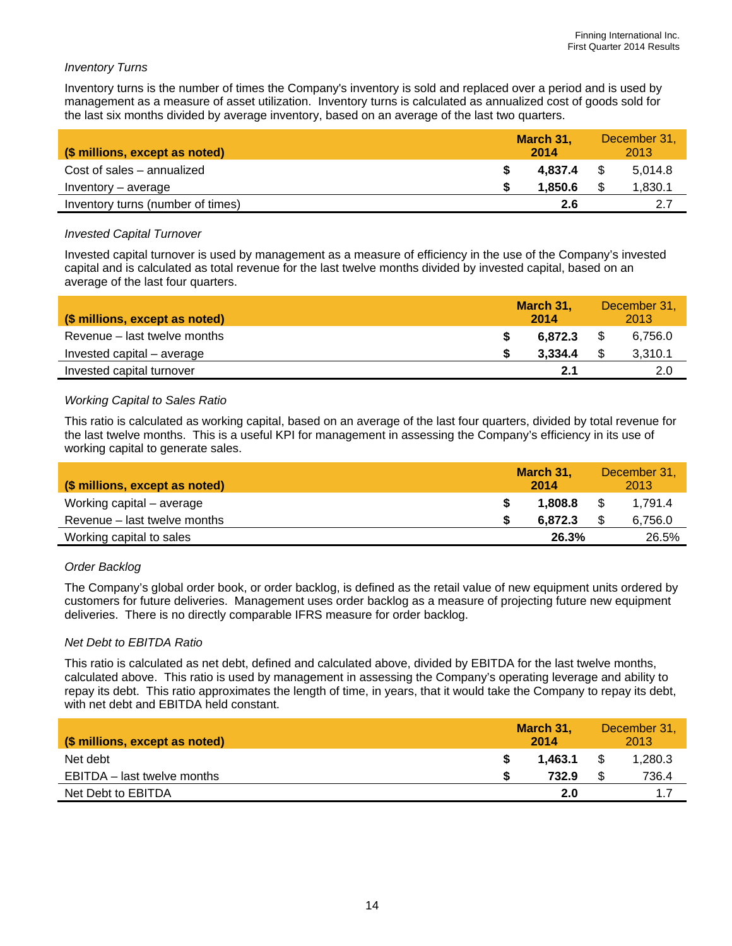#### *Inventory Turns*

Inventory turns is the number of times the Company's inventory is sold and replaced over a period and is used by management as a measure of asset utilization. Inventory turns is calculated as annualized cost of goods sold for the last six months divided by average inventory, based on an average of the last two quarters.

| (\$ millions, except as noted)    | March 31.<br>2014 |      | December 31,<br>2013 |
|-----------------------------------|-------------------|------|----------------------|
| Cost of sales – annualized        | 4.837.4           | - \$ | 5.014.8              |
| Inventory – average               | 1.850.6           |      | 1,830.1              |
| Inventory turns (number of times) | 2.6               |      | 2.7                  |

#### *Invested Capital Turnover*

Invested capital turnover is used by management as a measure of efficiency in the use of the Company's invested capital and is calculated as total revenue for the last twelve months divided by invested capital, based on an average of the last four quarters.

| (\$ millions, except as noted) | March 31,<br>2014 | December 31,<br>2013 |
|--------------------------------|-------------------|----------------------|
| Revenue – last twelve months   | 6.872.3           | 6.756.0              |
| Invested capital – average     | 3.334.4           | 3,310.1              |
| Invested capital turnover      | 2.1               | 2.0                  |

#### *Working Capital to Sales Ratio*

This ratio is calculated as working capital, based on an average of the last four quarters, divided by total revenue for the last twelve months. This is a useful KPI for management in assessing the Company's efficiency in its use of working capital to generate sales.

| (\$ millions, except as noted) | March 31,<br>2014 |      | December 31,<br>2013 |
|--------------------------------|-------------------|------|----------------------|
| Working capital – average      | 1.808.8           | - \$ | 1.791.4              |
| Revenue - last twelve months   | 6.872.3           |      | 6,756.0              |
| Working capital to sales       | 26.3%             |      | 26.5%                |

## *Order Backlog*

The Company's global order book, or order backlog, is defined as the retail value of new equipment units ordered by customers for future deliveries. Management uses order backlog as a measure of projecting future new equipment deliveries. There is no directly comparable IFRS measure for order backlog.

#### *Net Debt to EBITDA Ratio*

This ratio is calculated as net debt, defined and calculated above, divided by EBITDA for the last twelve months, calculated above. This ratio is used by management in assessing the Company's operating leverage and ability to repay its debt. This ratio approximates the length of time, in years, that it would take the Company to repay its debt, with net debt and EBITDA held constant.

| (\$ millions, except as noted) | March 31,<br>2014 | December 31,<br>2013 |
|--------------------------------|-------------------|----------------------|
| Net debt                       | 1.463.1           | 1,280.3              |
| EBITDA – last twelve months    | 732.9             | 736.4                |
| Net Debt to EBITDA             | 2.0               | 1.7                  |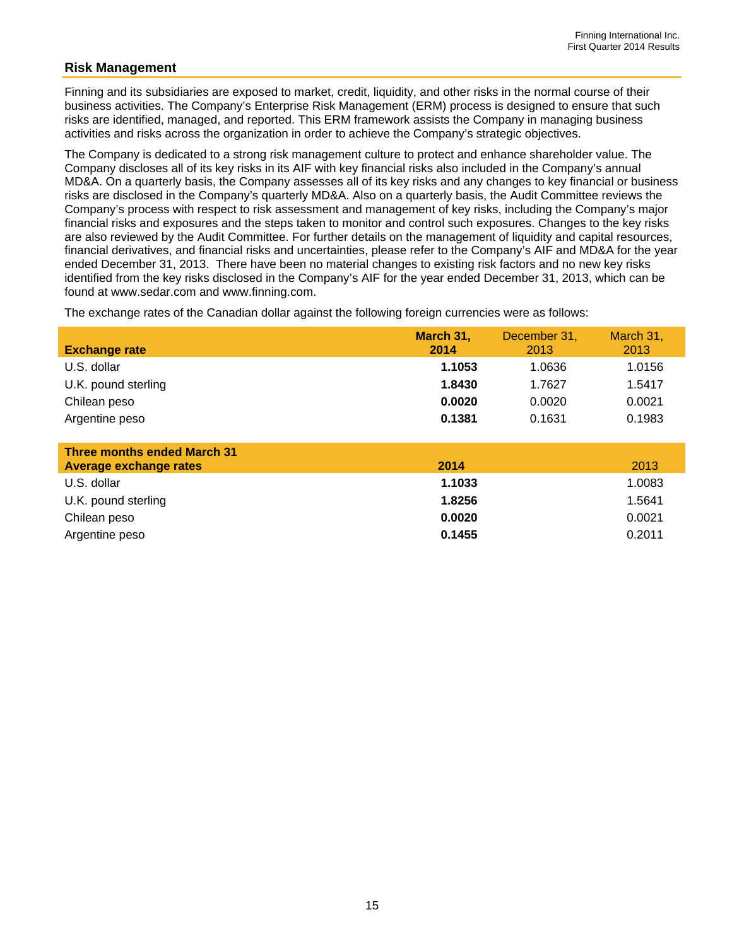## **Risk Management**

Finning and its subsidiaries are exposed to market, credit, liquidity, and other risks in the normal course of their business activities. The Company's Enterprise Risk Management (ERM) process is designed to ensure that such risks are identified, managed, and reported. This ERM framework assists the Company in managing business activities and risks across the organization in order to achieve the Company's strategic objectives.

The Company is dedicated to a strong risk management culture to protect and enhance shareholder value. The Company discloses all of its key risks in its AIF with key financial risks also included in the Company's annual MD&A. On a quarterly basis, the Company assesses all of its key risks and any changes to key financial or business risks are disclosed in the Company's quarterly MD&A. Also on a quarterly basis, the Audit Committee reviews the Company's process with respect to risk assessment and management of key risks, including the Company's major financial risks and exposures and the steps taken to monitor and control such exposures. Changes to the key risks are also reviewed by the Audit Committee. For further details on the management of liquidity and capital resources, financial derivatives, and financial risks and uncertainties, please refer to the Company's AIF and MD&A for the year ended December 31, 2013. There have been no material changes to existing risk factors and no new key risks identified from the key risks disclosed in the Company's AIF for the year ended December 31, 2013, which can be found at www.sedar.com and www.finning.com.

The exchange rates of the Canadian dollar against the following foreign currencies were as follows:

| <b>Exchange rate</b> | March 31,<br>2014 | December 31,<br>2013 | March 31,<br>2013 |
|----------------------|-------------------|----------------------|-------------------|
| U.S. dollar          | 1.1053            | 1.0636               | 1.0156            |
| U.K. pound sterling  | 1.8430            | 1.7627               | 1.5417            |
| Chilean peso         | 0.0020            | 0.0020               | 0.0021            |
| Argentine peso       | 0.1381            | 0.1631               | 0.1983            |

| <b>Three months ended March 31</b> |        |        |
|------------------------------------|--------|--------|
| <b>Average exchange rates</b>      | 2014   | 2013   |
| U.S. dollar                        | 1.1033 | 1.0083 |
| U.K. pound sterling                | 1.8256 | 1.5641 |
| Chilean peso                       | 0.0020 | 0.0021 |
| Argentine peso                     | 0.1455 | 0.2011 |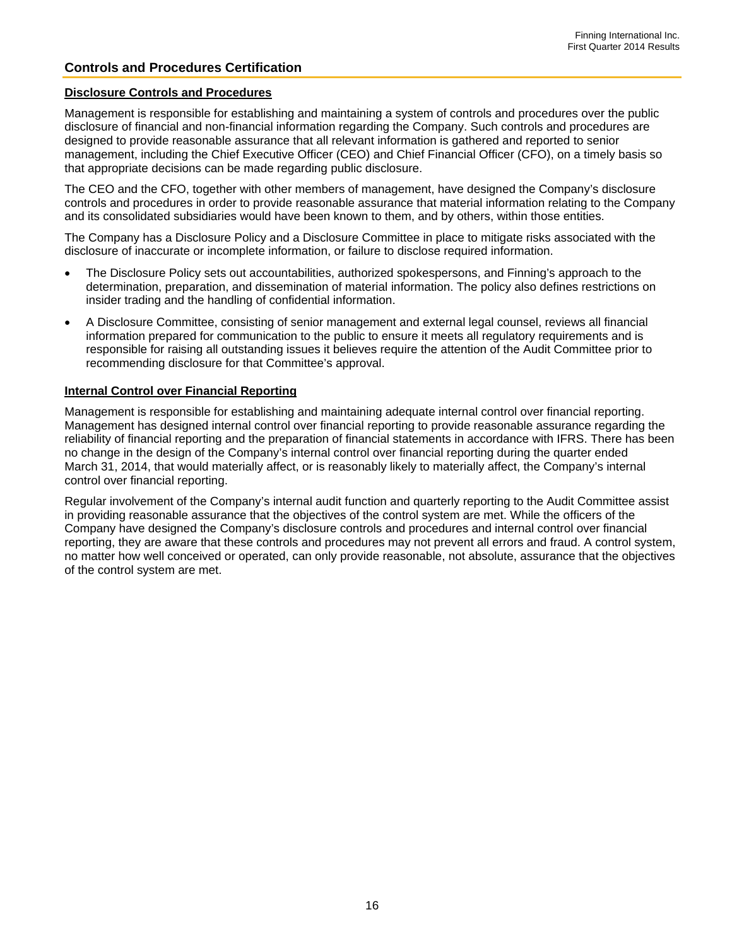## **Controls and Procedures Certification**

#### **Disclosure Controls and Procedures**

Management is responsible for establishing and maintaining a system of controls and procedures over the public disclosure of financial and non-financial information regarding the Company. Such controls and procedures are designed to provide reasonable assurance that all relevant information is gathered and reported to senior management, including the Chief Executive Officer (CEO) and Chief Financial Officer (CFO), on a timely basis so that appropriate decisions can be made regarding public disclosure.

The CEO and the CFO, together with other members of management, have designed the Company's disclosure controls and procedures in order to provide reasonable assurance that material information relating to the Company and its consolidated subsidiaries would have been known to them, and by others, within those entities.

The Company has a Disclosure Policy and a Disclosure Committee in place to mitigate risks associated with the disclosure of inaccurate or incomplete information, or failure to disclose required information.

- The Disclosure Policy sets out accountabilities, authorized spokespersons, and Finning's approach to the determination, preparation, and dissemination of material information. The policy also defines restrictions on insider trading and the handling of confidential information.
- A Disclosure Committee, consisting of senior management and external legal counsel, reviews all financial information prepared for communication to the public to ensure it meets all regulatory requirements and is responsible for raising all outstanding issues it believes require the attention of the Audit Committee prior to recommending disclosure for that Committee's approval.

#### **Internal Control over Financial Reporting**

Management is responsible for establishing and maintaining adequate internal control over financial reporting. Management has designed internal control over financial reporting to provide reasonable assurance regarding the reliability of financial reporting and the preparation of financial statements in accordance with IFRS. There has been no change in the design of the Company's internal control over financial reporting during the quarter ended March 31, 2014, that would materially affect, or is reasonably likely to materially affect, the Company's internal control over financial reporting.

Regular involvement of the Company's internal audit function and quarterly reporting to the Audit Committee assist in providing reasonable assurance that the objectives of the control system are met. While the officers of the Company have designed the Company's disclosure controls and procedures and internal control over financial reporting, they are aware that these controls and procedures may not prevent all errors and fraud. A control system, no matter how well conceived or operated, can only provide reasonable, not absolute, assurance that the objectives of the control system are met.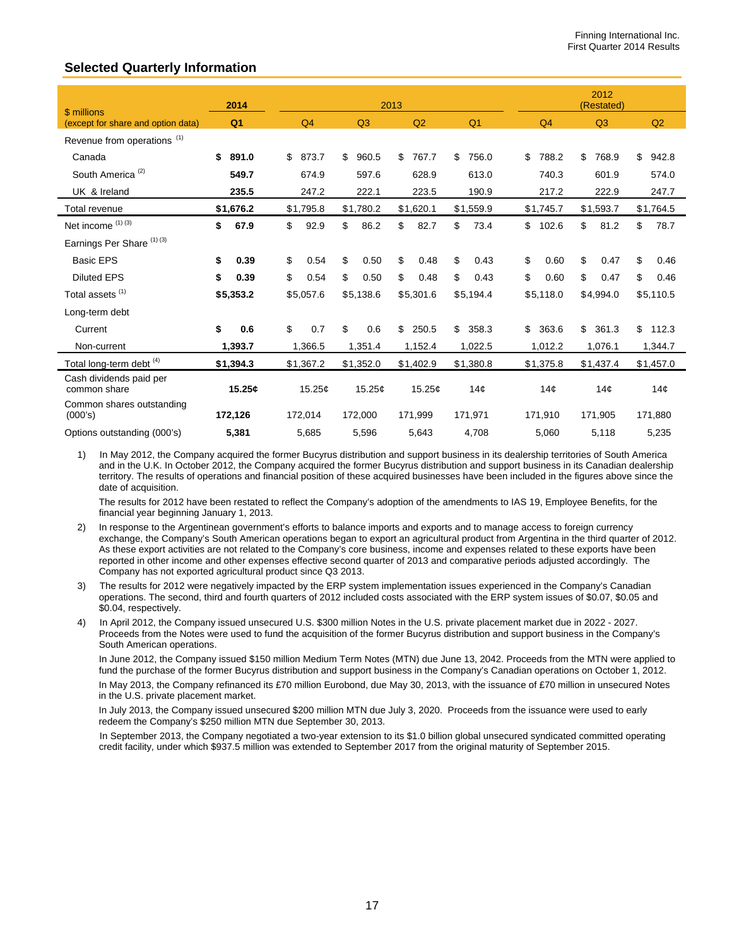## **Selected Quarterly Information**

| \$ millions                             | 2014           |             |                | 2013 |           |                 |                 | 2012<br>(Restated) |                 |                 |
|-----------------------------------------|----------------|-------------|----------------|------|-----------|-----------------|-----------------|--------------------|-----------------|-----------------|
| (except for share and option data)      | Q <sub>1</sub> | Q4          | Q <sub>3</sub> |      | Q2        | Q <sub>1</sub>  | Q4              |                    | Q3              | Q2              |
| Revenue from operations <sup>(1)</sup>  |                |             |                |      |           |                 |                 |                    |                 |                 |
| Canada                                  | \$<br>891.0    | \$<br>873.7 | \$<br>960.5    | \$   | 767.7     | \$<br>756.0     | \$<br>788.2     | \$                 | 768.9           | \$<br>942.8     |
| South America <sup>(2)</sup>            | 549.7          | 674.9       | 597.6          |      | 628.9     | 613.0           | 740.3           |                    | 601.9           | 574.0           |
| UK & Ireland                            | 235.5          | 247.2       | 222.1          |      | 223.5     | 190.9           | 217.2           |                    | 222.9           | 247.7           |
| Total revenue                           | \$1,676.2      | \$1,795.8   | \$1,780.2      |      | \$1,620.1 | \$1,559.9       | \$1,745.7       |                    | \$1,593.7       | \$1,764.5       |
| Net income (1) (3)                      | \$<br>67.9     | \$<br>92.9  | \$<br>86.2     | \$   | 82.7      | \$<br>73.4      | \$<br>102.6     | \$                 | 81.2            | \$<br>78.7      |
| Earnings Per Share <sup>(1)(3)</sup>    |                |             |                |      |           |                 |                 |                    |                 |                 |
| <b>Basic EPS</b>                        | \$<br>0.39     | \$<br>0.54  | \$<br>0.50     | \$   | 0.48      | \$<br>0.43      | \$<br>0.60      | \$                 | 0.47            | \$<br>0.46      |
| <b>Diluted EPS</b>                      | \$<br>0.39     | \$<br>0.54  | \$<br>0.50     | \$   | 0.48      | \$<br>0.43      | \$<br>0.60      | \$                 | 0.47            | \$<br>0.46      |
| Total assets <sup>(1)</sup>             | \$5,353.2      | \$5,057.6   | \$5,138.6      |      | \$5,301.6 | \$5,194.4       | \$5,118.0       |                    | \$4,994.0       | \$5,110.5       |
| Long-term debt                          |                |             |                |      |           |                 |                 |                    |                 |                 |
| Current                                 | \$<br>0.6      | \$<br>0.7   | \$<br>0.6      | \$   | 250.5     | \$<br>358.3     | \$<br>363.6     | \$                 | 361.3           | \$<br>112.3     |
| Non-current                             | 1,393.7        | 1,366.5     | 1,351.4        |      | 1,152.4   | 1,022.5         | 1,012.2         |                    | 1,076.1         | 1,344.7         |
| Total long-term debt <sup>(4)</sup>     | \$1,394.3      | \$1,367.2   | \$1,352.0      |      | \$1,402.9 | \$1,380.8       | \$1,375.8       |                    | \$1,437.4       | \$1,457.0       |
| Cash dividends paid per<br>common share | 15.25c         | 15.25¢      | 15.25¢         |      | 15.25¢    | 14 <sub>c</sub> | 14 <sub>c</sub> |                    | 14 <sub>c</sub> | 14 <sub>c</sub> |
| Common shares outstanding<br>(000's)    | 172,126        | 172,014     | 172,000        |      | 171,999   | 171,971         | 171,910         |                    | 171,905         | 171,880         |
| Options outstanding (000's)             | 5,381          | 5,685       | 5,596          |      | 5,643     | 4,708           | 5,060           |                    | 5,118           | 5,235           |

1) In May 2012, the Company acquired the former Bucyrus distribution and support business in its dealership territories of South America and in the U.K. In October 2012, the Company acquired the former Bucyrus distribution and support business in its Canadian dealership territory. The results of operations and financial position of these acquired businesses have been included in the figures above since the date of acquisition.

The results for 2012 have been restated to reflect the Company's adoption of the amendments to IAS 19, Employee Benefits, for the financial year beginning January 1, 2013.

- 2) In response to the Argentinean government's efforts to balance imports and exports and to manage access to foreign currency exchange, the Company's South American operations began to export an agricultural product from Argentina in the third quarter of 2012. As these export activities are not related to the Company's core business, income and expenses related to these exports have been reported in other income and other expenses effective second quarter of 2013 and comparative periods adjusted accordingly. The Company has not exported agricultural product since Q3 2013.
- The results for 2012 were negatively impacted by the ERP system implementation issues experienced in the Company's Canadian operations. The second, third and fourth quarters of 2012 included costs associated with the ERP system issues of \$0.07, \$0.05 and \$0.04, respectively.
- 4) In April 2012, the Company issued unsecured U.S. \$300 million Notes in the U.S. private placement market due in 2022 2027. Proceeds from the Notes were used to fund the acquisition of the former Bucyrus distribution and support business in the Company's South American operations.

In June 2012, the Company issued \$150 million Medium Term Notes (MTN) due June 13, 2042. Proceeds from the MTN were applied to fund the purchase of the former Bucyrus distribution and support business in the Company's Canadian operations on October 1, 2012. In May 2013, the Company refinanced its £70 million Eurobond, due May 30, 2013, with the issuance of £70 million in unsecured Notes in the U.S. private placement market.

In July 2013, the Company issued unsecured \$200 million MTN due July 3, 2020. Proceeds from the issuance were used to early redeem the Company's \$250 million MTN due September 30, 2013.

 In September 2013, the Company negotiated a two-year extension to its \$1.0 billion global unsecured syndicated committed operating credit facility, under which \$937.5 million was extended to September 2017 from the original maturity of September 2015.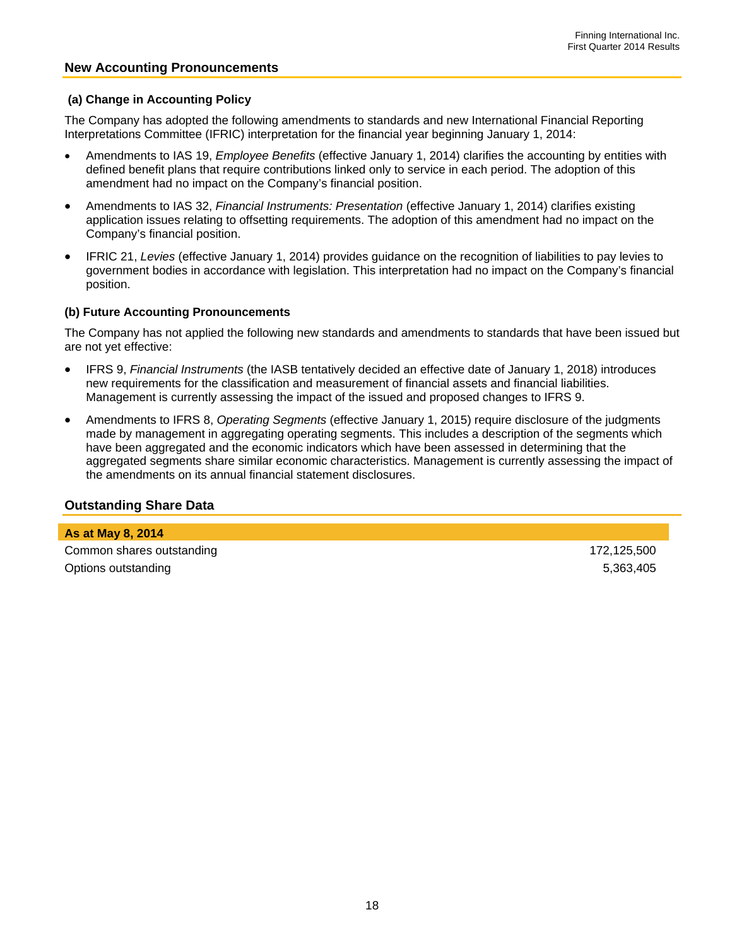#### **New Accounting Pronouncements**

#### **(a) Change in Accounting Policy**

The Company has adopted the following amendments to standards and new International Financial Reporting Interpretations Committee (IFRIC) interpretation for the financial year beginning January 1, 2014:

- Amendments to IAS 19, *Employee Benefits* (effective January 1, 2014) clarifies the accounting by entities with defined benefit plans that require contributions linked only to service in each period. The adoption of this amendment had no impact on the Company's financial position.
- Amendments to IAS 32, *Financial Instruments: Presentation* (effective January 1, 2014) clarifies existing application issues relating to offsetting requirements. The adoption of this amendment had no impact on the Company's financial position.
- IFRIC 21, *Levies* (effective January 1, 2014) provides guidance on the recognition of liabilities to pay levies to government bodies in accordance with legislation. This interpretation had no impact on the Company's financial position.

#### **(b) Future Accounting Pronouncements**

The Company has not applied the following new standards and amendments to standards that have been issued but are not yet effective:

- IFRS 9, *Financial Instruments* (the IASB tentatively decided an effective date of January 1, 2018) introduces new requirements for the classification and measurement of financial assets and financial liabilities. Management is currently assessing the impact of the issued and proposed changes to IFRS 9.
- Amendments to IFRS 8, *Operating Segments* (effective January 1, 2015) require disclosure of the judgments made by management in aggregating operating segments. This includes a description of the segments which have been aggregated and the economic indicators which have been assessed in determining that the aggregated segments share similar economic characteristics. Management is currently assessing the impact of the amendments on its annual financial statement disclosures.

## **Outstanding Share Data**

**As at May 8, 2014**  Common shares outstanding 172,125,500 Options outstanding 5,363,405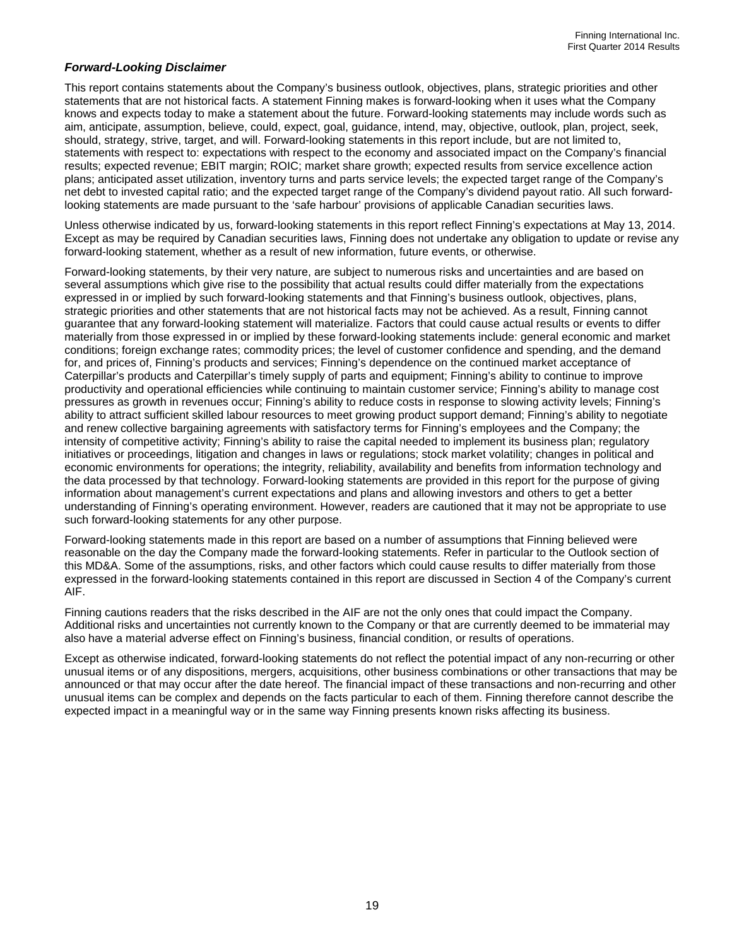#### *Forward-Looking Disclaimer*

This report contains statements about the Company's business outlook, objectives, plans, strategic priorities and other statements that are not historical facts. A statement Finning makes is forward-looking when it uses what the Company knows and expects today to make a statement about the future. Forward-looking statements may include words such as aim, anticipate, assumption, believe, could, expect, goal, guidance, intend, may, objective, outlook, plan, project, seek, should, strategy, strive, target, and will. Forward-looking statements in this report include, but are not limited to, statements with respect to: expectations with respect to the economy and associated impact on the Company's financial results; expected revenue; EBIT margin; ROIC; market share growth; expected results from service excellence action plans; anticipated asset utilization, inventory turns and parts service levels; the expected target range of the Company's net debt to invested capital ratio; and the expected target range of the Company's dividend payout ratio. All such forwardlooking statements are made pursuant to the 'safe harbour' provisions of applicable Canadian securities laws.

Unless otherwise indicated by us, forward-looking statements in this report reflect Finning's expectations at May 13, 2014. Except as may be required by Canadian securities laws, Finning does not undertake any obligation to update or revise any forward-looking statement, whether as a result of new information, future events, or otherwise.

Forward-looking statements, by their very nature, are subject to numerous risks and uncertainties and are based on several assumptions which give rise to the possibility that actual results could differ materially from the expectations expressed in or implied by such forward-looking statements and that Finning's business outlook, objectives, plans, strategic priorities and other statements that are not historical facts may not be achieved. As a result, Finning cannot guarantee that any forward-looking statement will materialize. Factors that could cause actual results or events to differ materially from those expressed in or implied by these forward-looking statements include: general economic and market conditions; foreign exchange rates; commodity prices; the level of customer confidence and spending, and the demand for, and prices of, Finning's products and services; Finning's dependence on the continued market acceptance of Caterpillar's products and Caterpillar's timely supply of parts and equipment; Finning's ability to continue to improve productivity and operational efficiencies while continuing to maintain customer service; Finning's ability to manage cost pressures as growth in revenues occur; Finning's ability to reduce costs in response to slowing activity levels; Finning's ability to attract sufficient skilled labour resources to meet growing product support demand; Finning's ability to negotiate and renew collective bargaining agreements with satisfactory terms for Finning's employees and the Company; the intensity of competitive activity; Finning's ability to raise the capital needed to implement its business plan; regulatory initiatives or proceedings, litigation and changes in laws or regulations; stock market volatility; changes in political and economic environments for operations; the integrity, reliability, availability and benefits from information technology and the data processed by that technology. Forward-looking statements are provided in this report for the purpose of giving information about management's current expectations and plans and allowing investors and others to get a better understanding of Finning's operating environment. However, readers are cautioned that it may not be appropriate to use such forward-looking statements for any other purpose.

Forward-looking statements made in this report are based on a number of assumptions that Finning believed were reasonable on the day the Company made the forward-looking statements. Refer in particular to the Outlook section of this MD&A. Some of the assumptions, risks, and other factors which could cause results to differ materially from those expressed in the forward-looking statements contained in this report are discussed in Section 4 of the Company's current AIF.

Finning cautions readers that the risks described in the AIF are not the only ones that could impact the Company. Additional risks and uncertainties not currently known to the Company or that are currently deemed to be immaterial may also have a material adverse effect on Finning's business, financial condition, or results of operations.

Except as otherwise indicated, forward-looking statements do not reflect the potential impact of any non-recurring or other unusual items or of any dispositions, mergers, acquisitions, other business combinations or other transactions that may be announced or that may occur after the date hereof. The financial impact of these transactions and non-recurring and other unusual items can be complex and depends on the facts particular to each of them. Finning therefore cannot describe the expected impact in a meaningful way or in the same way Finning presents known risks affecting its business.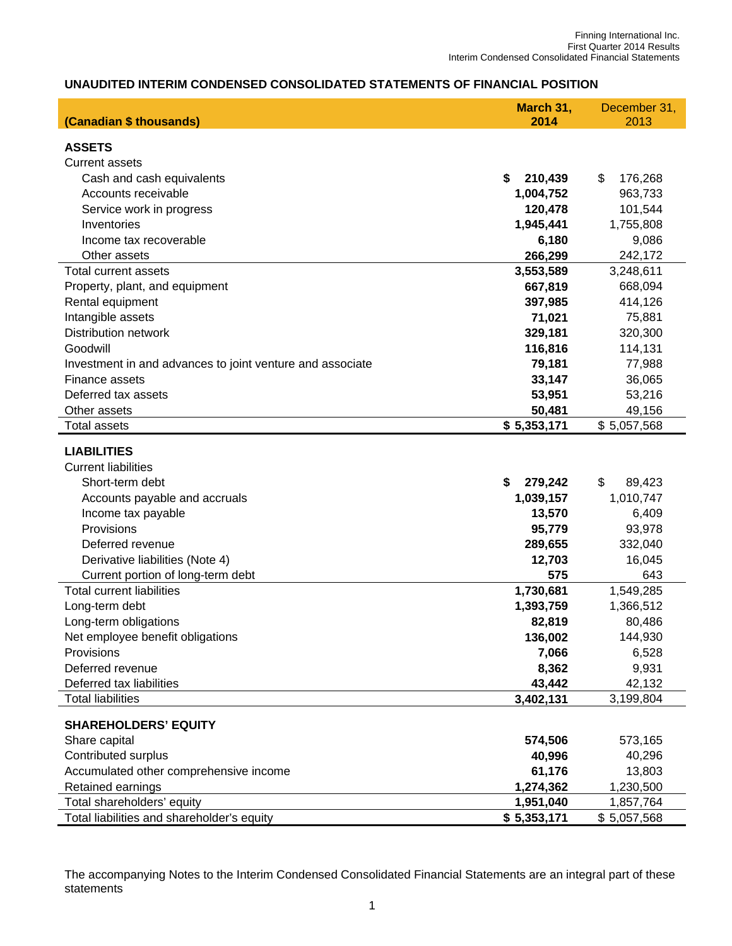## **UNAUDITED INTERIM CONDENSED CONSOLIDATED STATEMENTS OF FINANCIAL POSITION**

| (Canadian \$ thousands)                                   | March 31,<br>2014 | December 31,<br>2013 |  |  |
|-----------------------------------------------------------|-------------------|----------------------|--|--|
|                                                           |                   |                      |  |  |
| <b>ASSETS</b>                                             |                   |                      |  |  |
| <b>Current assets</b>                                     |                   |                      |  |  |
| Cash and cash equivalents                                 | \$<br>210,439     | \$<br>176,268        |  |  |
| Accounts receivable                                       | 1,004,752         | 963,733              |  |  |
| Service work in progress                                  | 120,478           | 101,544              |  |  |
| Inventories                                               | 1,945,441         | 1,755,808            |  |  |
| Income tax recoverable                                    | 6,180             | 9,086                |  |  |
| Other assets                                              | 266,299           | 242,172              |  |  |
| Total current assets                                      | 3,553,589         | 3,248,611            |  |  |
| Property, plant, and equipment                            | 667,819           | 668,094              |  |  |
| Rental equipment                                          | 397,985           | 414,126              |  |  |
| Intangible assets                                         | 71,021            | 75,881               |  |  |
| <b>Distribution network</b>                               | 329,181           | 320,300              |  |  |
| Goodwill                                                  | 116,816           | 114,131              |  |  |
| Investment in and advances to joint venture and associate | 79,181            | 77,988               |  |  |
| Finance assets                                            | 33,147            | 36,065               |  |  |
| Deferred tax assets                                       | 53,951            | 53,216               |  |  |
| Other assets                                              | 50,481            | 49,156               |  |  |
| <b>Total assets</b>                                       | \$5,353,171       | \$5,057,568          |  |  |
| <b>LIABILITIES</b>                                        |                   |                      |  |  |
| <b>Current liabilities</b>                                |                   |                      |  |  |
| Short-term debt                                           | \$<br>279,242     | \$<br>89,423         |  |  |
| Accounts payable and accruals                             | 1,039,157         | 1,010,747            |  |  |
| Income tax payable                                        | 13,570            | 6,409                |  |  |
| Provisions                                                | 95,779            | 93,978               |  |  |
| Deferred revenue                                          | 289,655           | 332,040              |  |  |
| Derivative liabilities (Note 4)                           | 12,703            | 16,045               |  |  |
| Current portion of long-term debt                         | 575               | 643                  |  |  |
| <b>Total current liabilities</b>                          | 1,730,681         | 1,549,285            |  |  |
| Long-term debt                                            | 1,393,759         | 1,366,512            |  |  |
| Long-term obligations                                     | 82,819            | 80,486               |  |  |
| Net employee benefit obligations                          | 136,002           | 144,930              |  |  |
| Provisions                                                | 7,066             | 6,528                |  |  |
| Deferred revenue                                          | 8,362             | 9,931                |  |  |
| Deferred tax liabilities                                  | 43,442            | 42,132               |  |  |
| <b>Total liabilities</b>                                  | 3,402,131         | 3,199,804            |  |  |
| <b>SHAREHOLDERS' EQUITY</b>                               |                   |                      |  |  |
| Share capital                                             | 574,506           | 573,165              |  |  |
| Contributed surplus                                       | 40,996            | 40,296               |  |  |
| Accumulated other comprehensive income                    | 61,176            | 13,803               |  |  |
| Retained earnings                                         | 1,274,362         | 1,230,500            |  |  |
| Total shareholders' equity                                | 1,951,040         | 1,857,764            |  |  |
| Total liabilities and shareholder's equity                | \$5,353,171       | \$5,057,568          |  |  |

The accompanying Notes to the Interim Condensed Consolidated Financial Statements are an integral part of these statements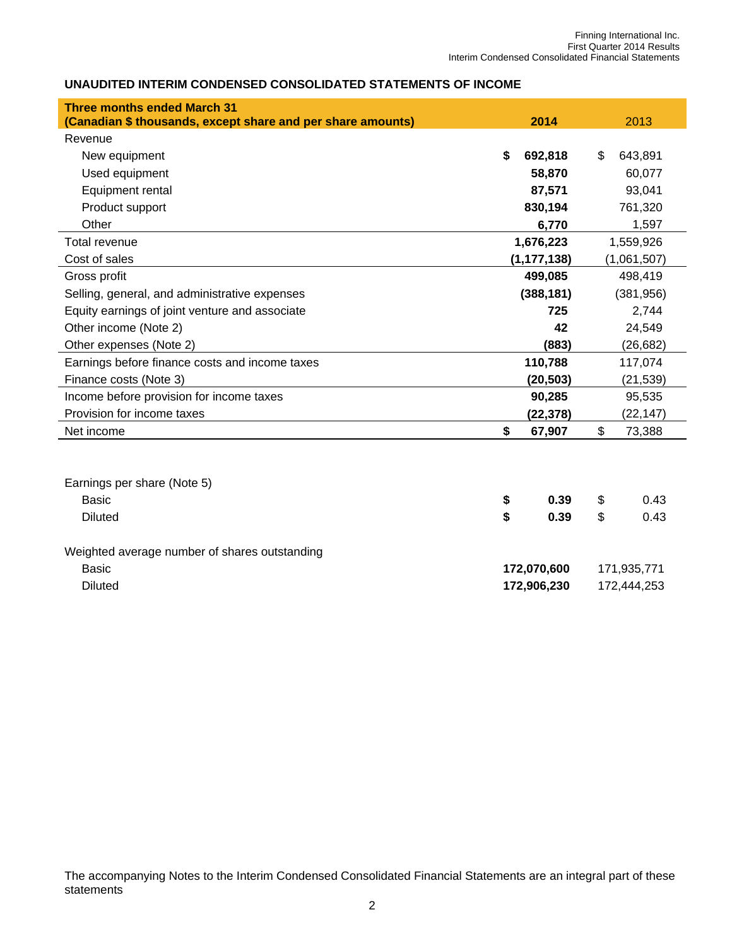## **UNAUDITED INTERIM CONDENSED CONSOLIDATED STATEMENTS OF INCOME**

| <b>Three months ended March 31</b>                          |          |               |           |              |  |  |  |
|-------------------------------------------------------------|----------|---------------|-----------|--------------|--|--|--|
| (Canadian \$ thousands, except share and per share amounts) |          | 2014          |           | 2013         |  |  |  |
| Revenue                                                     |          |               |           |              |  |  |  |
| New equipment                                               | \$       | 692,818       | \$        | 643,891      |  |  |  |
| Used equipment                                              |          | 58,870        | 60,077    |              |  |  |  |
| Equipment rental                                            |          | 87,571        | 93,041    |              |  |  |  |
| Product support                                             |          | 830,194       | 761,320   |              |  |  |  |
| Other                                                       |          | 6,770         |           | 1,597        |  |  |  |
| <b>Total revenue</b>                                        |          | 1,676,223     |           | 1,559,926    |  |  |  |
| Cost of sales                                               |          | (1, 177, 138) |           | (1,061,507)  |  |  |  |
| Gross profit                                                |          | 499,085       | 498,419   |              |  |  |  |
| Selling, general, and administrative expenses               |          | (388, 181)    |           | (381, 956)   |  |  |  |
| Equity earnings of joint venture and associate              |          | 725           |           | 2,744        |  |  |  |
| Other income (Note 2)                                       |          | 42            | 24,549    |              |  |  |  |
| Other expenses (Note 2)                                     |          | (883)         | (26, 682) |              |  |  |  |
| Earnings before finance costs and income taxes              |          | 110,788       | 117,074   |              |  |  |  |
| Finance costs (Note 3)                                      |          | (20, 503)     |           | (21, 539)    |  |  |  |
| Income before provision for income taxes                    |          | 90,285        |           | 95,535       |  |  |  |
| Provision for income taxes                                  |          | (22, 378)     |           | (22, 147)    |  |  |  |
| Net income                                                  | \$       | 67,907        | \$        | 73,388       |  |  |  |
| Earnings per share (Note 5)<br>Basic<br><b>Diluted</b>      | \$<br>\$ | 0.39<br>0.39  | \$<br>\$  | 0.43<br>0.43 |  |  |  |
| Weighted average number of shares outstanding               |          |               |           |              |  |  |  |

Basic **172,070,600** 171,935,771 Diluted **172,906,230** 172,444,253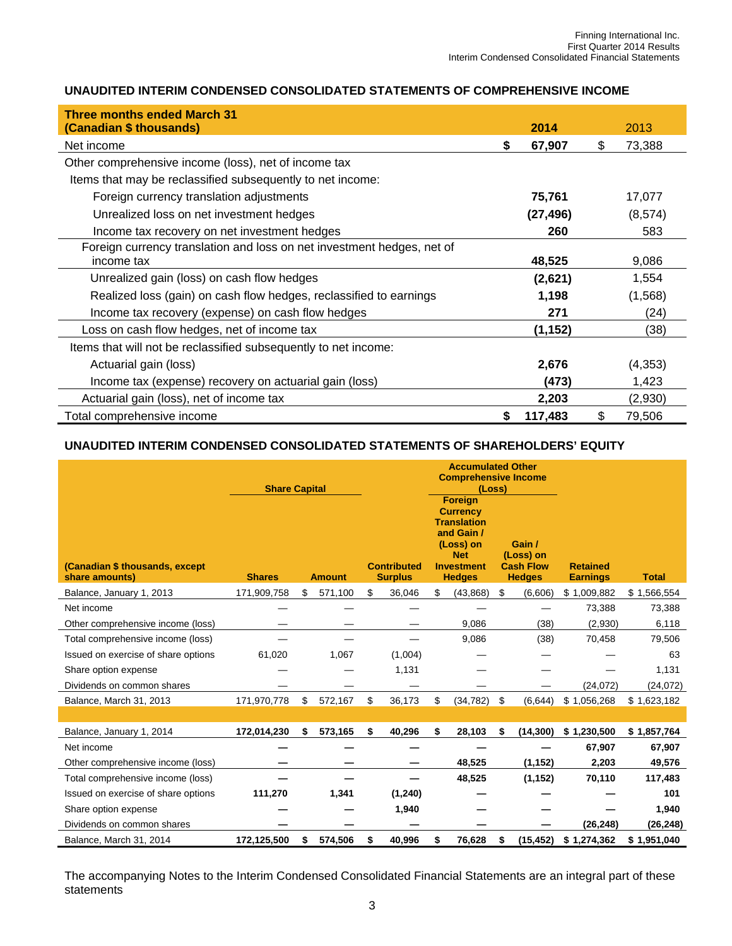## **UNAUDITED INTERIM CONDENSED CONSOLIDATED STATEMENTS OF COMPREHENSIVE INCOME**

| <b>Three months ended March 31</b><br>(Canadian \$ thousands)                        |   | 2014      | 2013         |
|--------------------------------------------------------------------------------------|---|-----------|--------------|
| Net income                                                                           | S | 67,907    | \$<br>73,388 |
| Other comprehensive income (loss), net of income tax                                 |   |           |              |
| Items that may be reclassified subsequently to net income:                           |   |           |              |
| Foreign currency translation adjustments                                             |   | 75,761    | 17,077       |
| Unrealized loss on net investment hedges                                             |   | (27, 496) | (8,574)      |
| Income tax recovery on net investment hedges                                         |   | 260       | 583          |
| Foreign currency translation and loss on net investment hedges, net of<br>income tax |   | 48,525    | 9,086        |
| Unrealized gain (loss) on cash flow hedges                                           |   | (2,621)   | 1,554        |
| Realized loss (gain) on cash flow hedges, reclassified to earnings                   |   | 1,198     | (1,568)      |
| Income tax recovery (expense) on cash flow hedges                                    |   | 271       | (24)         |
| Loss on cash flow hedges, net of income tax                                          |   | (1,152)   | (38)         |
| Items that will not be reclassified subsequently to net income:                      |   |           |              |
| Actuarial gain (loss)                                                                |   | 2,676     | (4,353)      |
| Income tax (expense) recovery on actuarial gain (loss)                               |   | (473)     | 1,423        |
| Actuarial gain (loss), net of income tax                                             |   | 2,203     | (2,930)      |
| Total comprehensive income                                                           |   | 117,483   | \$<br>79,506 |

#### **UNAUDITED INTERIM CONDENSED CONSOLIDATED STATEMENTS OF SHAREHOLDERS' EQUITY**

| (Canadian \$ thousands, except<br>share amounts) | <b>Share Capital</b><br><b>Shares</b> | <b>Amount</b> | <b>Contributed</b><br><b>Surplus</b> | <b>Accumulated Other</b><br><b>Comprehensive Income</b><br>(Loss)<br><b>Foreign</b><br><b>Currency</b><br><b>Translation</b><br>and Gain /<br>(Loss) on<br><b>Net</b><br><b>Investment</b><br><b>Hedges</b> | Gain /<br>(Loss) on<br><b>Cash Flow</b><br><b>Hedges</b> | <b>Retained</b><br><b>Earnings</b> | <b>Total</b> |
|--------------------------------------------------|---------------------------------------|---------------|--------------------------------------|-------------------------------------------------------------------------------------------------------------------------------------------------------------------------------------------------------------|----------------------------------------------------------|------------------------------------|--------------|
| Balance, January 1, 2013                         | 171,909,758                           | \$<br>571,100 | \$<br>36,046                         | \$<br>(43, 868)                                                                                                                                                                                             | \$<br>(6,606)                                            | \$1,009,882                        | \$1,566,554  |
| Net income                                       |                                       |               |                                      |                                                                                                                                                                                                             |                                                          | 73,388                             | 73,388       |
| Other comprehensive income (loss)                |                                       |               |                                      | 9,086                                                                                                                                                                                                       | (38)                                                     | (2,930)                            | 6,118        |
| Total comprehensive income (loss)                |                                       |               |                                      | 9,086                                                                                                                                                                                                       | (38)                                                     | 70,458                             | 79,506       |
| Issued on exercise of share options              | 61,020                                | 1,067         | (1,004)                              |                                                                                                                                                                                                             |                                                          |                                    | 63           |
| Share option expense                             |                                       |               | 1,131                                |                                                                                                                                                                                                             |                                                          |                                    | 1,131        |
| Dividends on common shares                       |                                       |               |                                      |                                                                                                                                                                                                             |                                                          | (24, 072)                          | (24, 072)    |
| Balance, March 31, 2013                          | 171,970,778                           | \$<br>572,167 | \$<br>36,173                         | \$<br>(34, 782)                                                                                                                                                                                             | \$<br>(6, 644)                                           | \$1,056,268                        | \$1,623,182  |
|                                                  |                                       |               |                                      |                                                                                                                                                                                                             |                                                          |                                    |              |
| Balance, January 1, 2014                         | 172,014,230                           | \$<br>573,165 | \$<br>40,296                         | \$<br>28,103                                                                                                                                                                                                | \$<br>(14, 300)                                          | \$1,230,500                        | \$1,857,764  |
| Net income                                       |                                       |               |                                      |                                                                                                                                                                                                             |                                                          | 67,907                             | 67,907       |
| Other comprehensive income (loss)                |                                       |               |                                      | 48,525                                                                                                                                                                                                      | (1, 152)                                                 | 2,203                              | 49,576       |
| Total comprehensive income (loss)                |                                       |               |                                      | 48,525                                                                                                                                                                                                      | (1, 152)                                                 | 70,110                             | 117,483      |
| Issued on exercise of share options              | 111,270                               | 1,341         | (1, 240)                             |                                                                                                                                                                                                             |                                                          |                                    | 101          |
| Share option expense                             |                                       |               | 1,940                                |                                                                                                                                                                                                             |                                                          |                                    | 1,940        |
| Dividends on common shares                       |                                       |               |                                      |                                                                                                                                                                                                             |                                                          | (26, 248)                          | (26, 248)    |
| Balance, March 31, 2014                          | 172,125,500                           | \$<br>574,506 | \$<br>40,996                         | \$<br>76,628                                                                                                                                                                                                | \$<br>(15, 452)                                          | \$1,274,362                        | \$1,951,040  |

The accompanying Notes to the Interim Condensed Consolidated Financial Statements are an integral part of these statements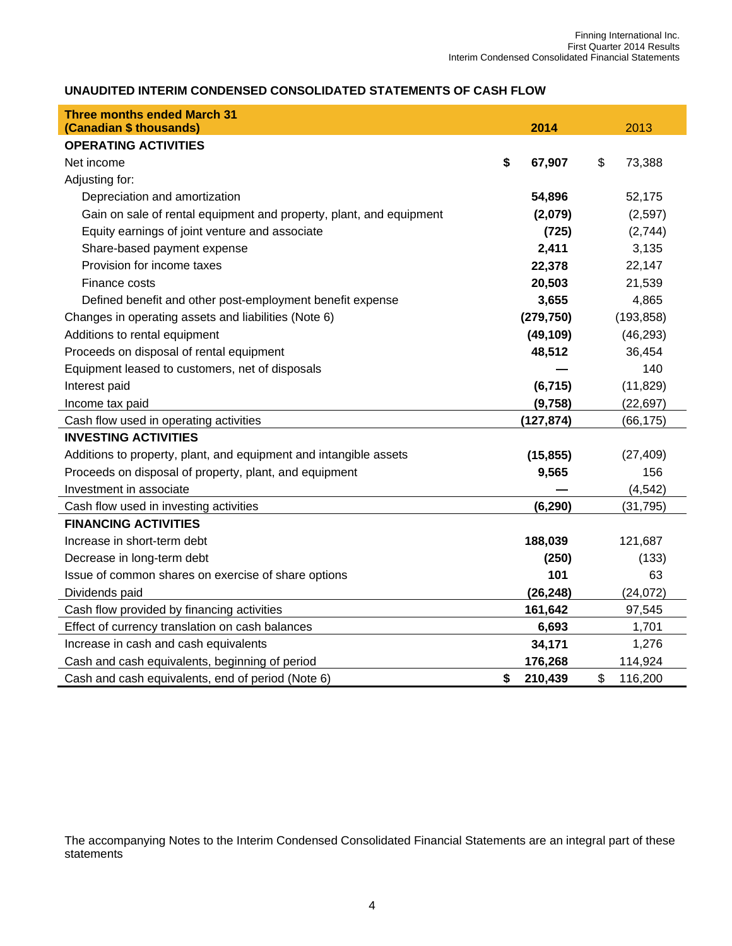## **UNAUDITED INTERIM CONDENSED CONSOLIDATED STATEMENTS OF CASH FLOW**

| <b>Three months ended March 31</b>                                  |               |               |
|---------------------------------------------------------------------|---------------|---------------|
| (Canadian \$ thousands)                                             | 2014          | 2013          |
| <b>OPERATING ACTIVITIES</b>                                         |               |               |
| Net income                                                          | \$<br>67,907  | \$<br>73,388  |
| Adjusting for:                                                      |               |               |
| Depreciation and amortization                                       | 54,896        | 52,175        |
| Gain on sale of rental equipment and property, plant, and equipment | (2,079)       | (2,597)       |
| Equity earnings of joint venture and associate                      | (725)         | (2,744)       |
| Share-based payment expense                                         | 2,411         | 3,135         |
| Provision for income taxes                                          | 22,378        | 22,147        |
| Finance costs                                                       | 20,503        | 21,539        |
| Defined benefit and other post-employment benefit expense           | 3,655         | 4,865         |
| Changes in operating assets and liabilities (Note 6)                | (279, 750)    | (193, 858)    |
| Additions to rental equipment                                       | (49, 109)     | (46, 293)     |
| Proceeds on disposal of rental equipment                            | 48,512        | 36,454        |
| Equipment leased to customers, net of disposals                     |               | 140           |
| Interest paid                                                       | (6, 715)      | (11, 829)     |
| Income tax paid                                                     | (9,758)       | (22, 697)     |
| Cash flow used in operating activities                              | (127, 874)    | (66, 175)     |
| <b>INVESTING ACTIVITIES</b>                                         |               |               |
| Additions to property, plant, and equipment and intangible assets   | (15, 855)     | (27, 409)     |
| Proceeds on disposal of property, plant, and equipment              | 9,565         | 156           |
| Investment in associate                                             |               | (4, 542)      |
| Cash flow used in investing activities                              | (6, 290)      | (31, 795)     |
| <b>FINANCING ACTIVITIES</b>                                         |               |               |
| Increase in short-term debt                                         | 188,039       | 121,687       |
| Decrease in long-term debt                                          | (250)         | (133)         |
| Issue of common shares on exercise of share options                 | 101           | 63            |
| Dividends paid                                                      | (26, 248)     | (24, 072)     |
| Cash flow provided by financing activities                          | 161,642       | 97,545        |
| Effect of currency translation on cash balances                     | 6,693         | 1,701         |
| Increase in cash and cash equivalents                               | 34,171        | 1,276         |
| Cash and cash equivalents, beginning of period                      | 176,268       | 114,924       |
| Cash and cash equivalents, end of period (Note 6)                   | \$<br>210,439 | \$<br>116,200 |

The accompanying Notes to the Interim Condensed Consolidated Financial Statements are an integral part of these statements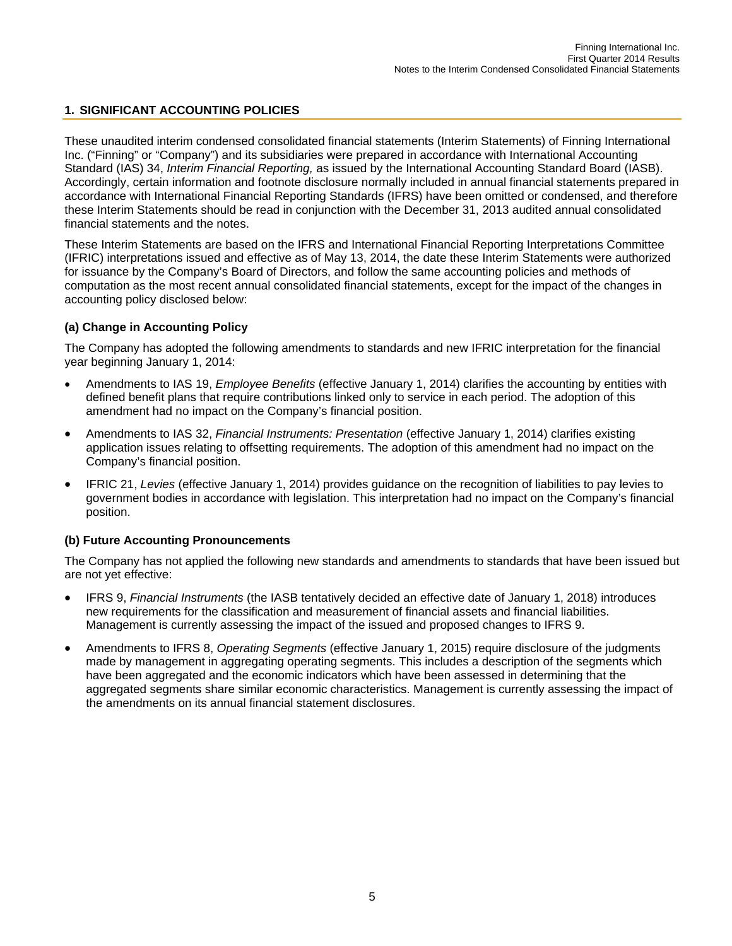## **1. SIGNIFICANT ACCOUNTING POLICIES**

These unaudited interim condensed consolidated financial statements (Interim Statements) of Finning International Inc. ("Finning" or "Company") and its subsidiaries were prepared in accordance with International Accounting Standard (IAS) 34, *Interim Financial Reporting,* as issued by the International Accounting Standard Board (IASB). Accordingly, certain information and footnote disclosure normally included in annual financial statements prepared in accordance with International Financial Reporting Standards (IFRS) have been omitted or condensed, and therefore these Interim Statements should be read in conjunction with the December 31, 2013 audited annual consolidated financial statements and the notes.

These Interim Statements are based on the IFRS and International Financial Reporting Interpretations Committee (IFRIC) interpretations issued and effective as of May 13, 2014, the date these Interim Statements were authorized for issuance by the Company's Board of Directors, and follow the same accounting policies and methods of computation as the most recent annual consolidated financial statements, except for the impact of the changes in accounting policy disclosed below:

## **(a) Change in Accounting Policy**

The Company has adopted the following amendments to standards and new IFRIC interpretation for the financial year beginning January 1, 2014:

- Amendments to IAS 19, *Employee Benefits* (effective January 1, 2014) clarifies the accounting by entities with defined benefit plans that require contributions linked only to service in each period. The adoption of this amendment had no impact on the Company's financial position.
- Amendments to IAS 32, *Financial Instruments: Presentation* (effective January 1, 2014) clarifies existing application issues relating to offsetting requirements. The adoption of this amendment had no impact on the Company's financial position.
- IFRIC 21, *Levies* (effective January 1, 2014) provides guidance on the recognition of liabilities to pay levies to government bodies in accordance with legislation. This interpretation had no impact on the Company's financial position.

## **(b) Future Accounting Pronouncements**

The Company has not applied the following new standards and amendments to standards that have been issued but are not yet effective:

- IFRS 9, *Financial Instruments* (the IASB tentatively decided an effective date of January 1, 2018) introduces new requirements for the classification and measurement of financial assets and financial liabilities. Management is currently assessing the impact of the issued and proposed changes to IFRS 9.
- Amendments to IFRS 8, *Operating Segments* (effective January 1, 2015) require disclosure of the judgments made by management in aggregating operating segments. This includes a description of the segments which have been aggregated and the economic indicators which have been assessed in determining that the aggregated segments share similar economic characteristics. Management is currently assessing the impact of the amendments on its annual financial statement disclosures.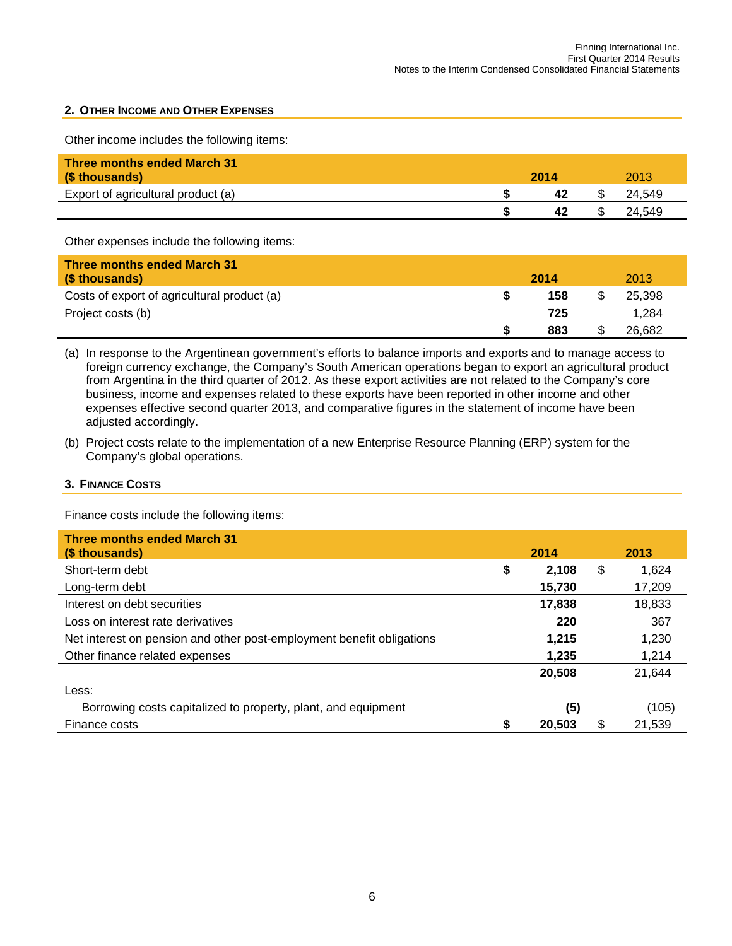### **2. OTHER INCOME AND OTHER EXPENSES**

Other income includes the following items:

| <b>Three months ended March 31</b><br>(\$ thousands) | 2014 | 2013   |  |
|------------------------------------------------------|------|--------|--|
| Export of agricultural product (a)                   | 42   | 24.549 |  |
|                                                      | 42   | 24.549 |  |

Other expenses include the following items:

| <b>Three months ended March 31</b><br>(\$ thousands) | 2014 | 2013   |  |
|------------------------------------------------------|------|--------|--|
| Costs of export of agricultural product (a)          | 158  | 25.398 |  |
| Project costs (b)                                    | 725  | 1.284  |  |
|                                                      | 883  | 26.682 |  |

(a) In response to the Argentinean government's efforts to balance imports and exports and to manage access to foreign currency exchange, the Company's South American operations began to export an agricultural product from Argentina in the third quarter of 2012. As these export activities are not related to the Company's core business, income and expenses related to these exports have been reported in other income and other expenses effective second quarter 2013, and comparative figures in the statement of income have been adjusted accordingly.

(b) Project costs relate to the implementation of a new Enterprise Resource Planning (ERP) system for the Company's global operations.

#### **3. FINANCE COSTS**

Finance costs include the following items:

| <b>Three months ended March 31</b><br>(\$ thousands)                  | 2014        | 2013         |
|-----------------------------------------------------------------------|-------------|--------------|
| Short-term debt                                                       | \$<br>2.108 | \$<br>1.624  |
| Long-term debt                                                        | 15.730      | 17,209       |
| Interest on debt securities                                           | 17,838      | 18,833       |
| Loss on interest rate derivatives                                     | 220         | 367          |
| Net interest on pension and other post-employment benefit obligations | 1.215       | 1,230        |
| Other finance related expenses                                        | 1.235       | 1,214        |
|                                                                       | 20,508      | 21.644       |
| Less:                                                                 |             |              |
| Borrowing costs capitalized to property, plant, and equipment         | (5)         | (105)        |
| Finance costs                                                         | 20,503      | \$<br>21.539 |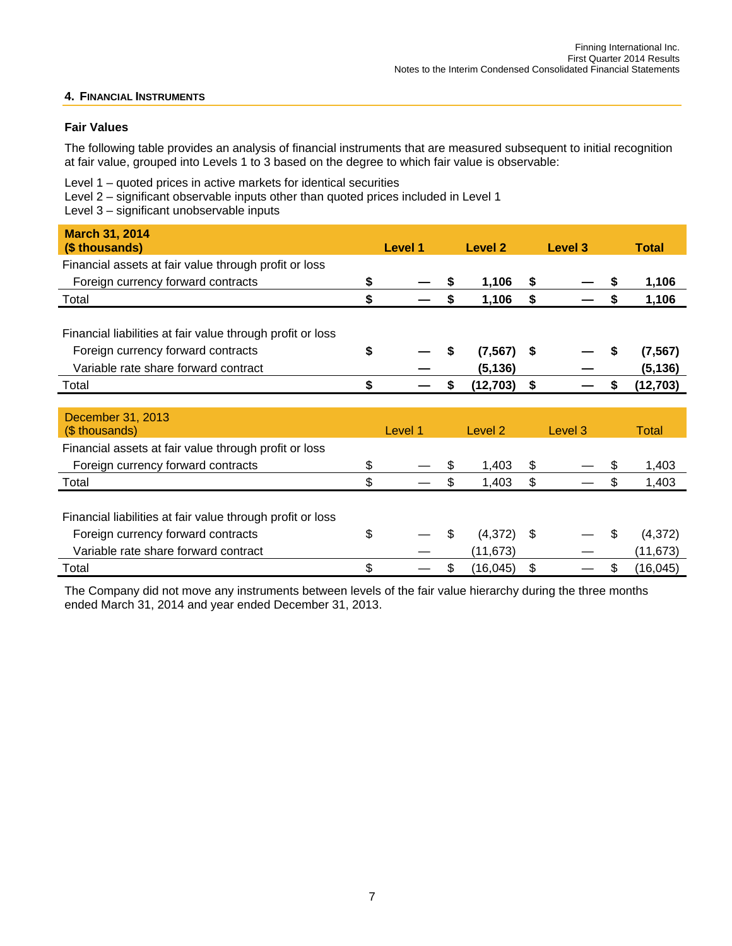## **4. FINANCIAL INSTRUMENTS**

## **Fair Values**

The following table provides an analysis of financial instruments that are measured subsequent to initial recognition at fair value, grouped into Levels 1 to 3 based on the degree to which fair value is observable:

Level 1 – quoted prices in active markets for identical securities

Level 2 – significant observable inputs other than quoted prices included in Level 1

Level 3 – significant unobservable inputs

| <b>March 31, 2014</b><br>(\$ thousands)                    | Level 1 | Level 2         |      | Level 3 | <b>Total</b>    |
|------------------------------------------------------------|---------|-----------------|------|---------|-----------------|
| Financial assets at fair value through profit or loss      |         |                 |      |         |                 |
| Foreign currency forward contracts                         |         | 1,106           | \$   |         | 1,106           |
| Total                                                      | \$      | \$<br>1,106     | \$   |         | \$<br>1,106     |
|                                                            |         |                 |      |         |                 |
| Financial liabilities at fair value through profit or loss |         |                 |      |         |                 |
| Foreign currency forward contracts                         | \$      | \$<br>(7, 567)  | - \$ |         | (7, 567)        |
| Variable rate share forward contract                       |         | (5, 136)        |      |         | (5, 136)        |
| Total                                                      | \$      | \$<br>(12,703)  | \$   |         | \$<br>(12,703)  |
|                                                            |         |                 |      |         |                 |
| December 31, 2013<br>(\$ thousands)                        | Level 1 | Level 2         |      | Level 3 | Total           |
| Financial assets at fair value through profit or loss      |         |                 |      |         |                 |
| Foreign currency forward contracts                         | \$      | \$<br>1,403     | \$   |         | \$<br>1,403     |
| Total                                                      | \$      | \$<br>1,403     | \$   |         | \$<br>1,403     |
|                                                            |         |                 |      |         |                 |
| Financial liabilities at fair value through profit or loss |         |                 |      |         |                 |
| Foreign currency forward contracts                         | \$      | \$<br>(4,372)   | -\$  |         | \$<br>(4,372)   |
| Variable rate share forward contract                       |         | (11, 673)       |      |         | (11,673)        |
| Total                                                      | \$      | \$<br>(16, 045) | \$   |         | \$<br>(16, 045) |

The Company did not move any instruments between levels of the fair value hierarchy during the three months ended March 31, 2014 and year ended December 31, 2013.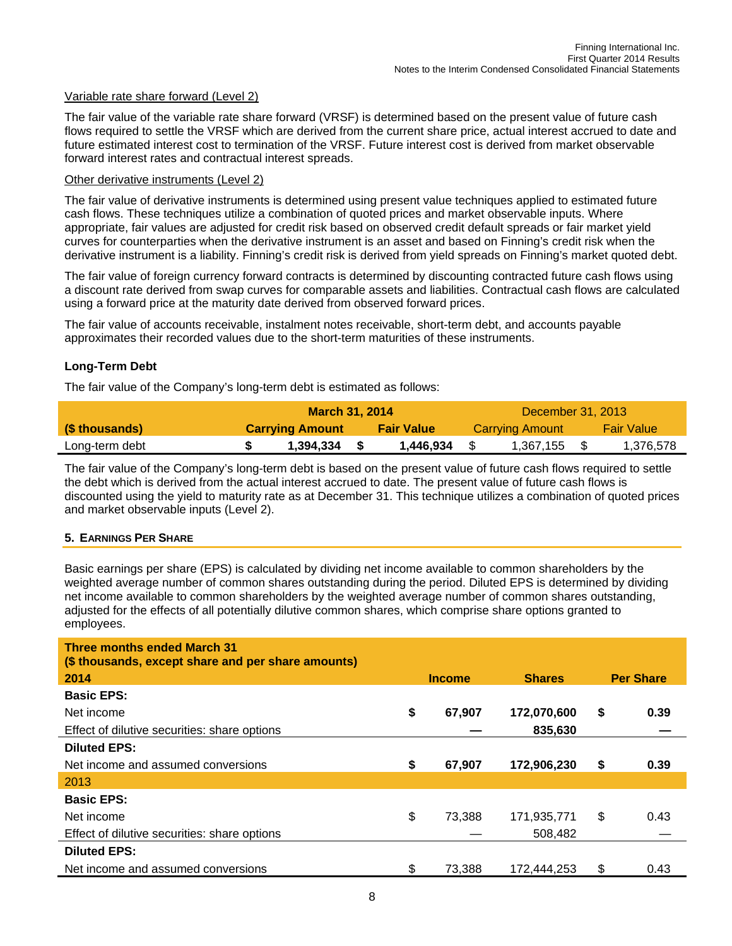#### Variable rate share forward (Level 2)

The fair value of the variable rate share forward (VRSF) is determined based on the present value of future cash flows required to settle the VRSF which are derived from the current share price, actual interest accrued to date and future estimated interest cost to termination of the VRSF. Future interest cost is derived from market observable forward interest rates and contractual interest spreads.

#### Other derivative instruments (Level 2)

The fair value of derivative instruments is determined using present value techniques applied to estimated future cash flows. These techniques utilize a combination of quoted prices and market observable inputs. Where appropriate, fair values are adjusted for credit risk based on observed credit default spreads or fair market yield curves for counterparties when the derivative instrument is an asset and based on Finning's credit risk when the derivative instrument is a liability. Finning's credit risk is derived from yield spreads on Finning's market quoted debt.

The fair value of foreign currency forward contracts is determined by discounting contracted future cash flows using a discount rate derived from swap curves for comparable assets and liabilities. Contractual cash flows are calculated using a forward price at the maturity date derived from observed forward prices.

The fair value of accounts receivable, instalment notes receivable, short-term debt, and accounts payable approximates their recorded values due to the short-term maturities of these instruments.

## **Long-Term Debt**

The fair value of the Company's long-term debt is estimated as follows:

|                | <b>March 31, 2014</b> |                        |  |                   |  |                 |  |                   |
|----------------|-----------------------|------------------------|--|-------------------|--|-----------------|--|-------------------|
| (\$ thousands) |                       | <b>Carrying Amount</b> |  | <b>Fair Value</b> |  | Carrying Amount |  | <b>Fair Value</b> |
| Long-term debt |                       | 1.394.334              |  | 1.446.934         |  | 1,367,155 \$    |  | 1,376,578         |

The fair value of the Company's long-term debt is based on the present value of future cash flows required to settle the debt which is derived from the actual interest accrued to date. The present value of future cash flows is discounted using the yield to maturity rate as at December 31. This technique utilizes a combination of quoted prices and market observable inputs (Level 2).

#### **5. EARNINGS PER SHARE**

Basic earnings per share (EPS) is calculated by dividing net income available to common shareholders by the weighted average number of common shares outstanding during the period. Diluted EPS is determined by dividing net income available to common shareholders by the weighted average number of common shares outstanding, adjusted for the effects of all potentially dilutive common shares, which comprise share options granted to employees.

| <b>Three months ended March 31</b><br>(\$ thousands, except share and per share amounts) |               |               |                  |
|------------------------------------------------------------------------------------------|---------------|---------------|------------------|
| 2014                                                                                     | <b>Income</b> | <b>Shares</b> | <b>Per Share</b> |
| <b>Basic EPS:</b>                                                                        |               |               |                  |
| Net income                                                                               | \$<br>67,907  | 172,070,600   | \$<br>0.39       |
| Effect of dilutive securities: share options                                             |               | 835,630       |                  |
| <b>Diluted EPS:</b>                                                                      |               |               |                  |
| Net income and assumed conversions                                                       | \$<br>67,907  | 172,906,230   | \$<br>0.39       |
| 2013                                                                                     |               |               |                  |
| <b>Basic EPS:</b>                                                                        |               |               |                  |
| Net income                                                                               | \$<br>73.388  | 171,935,771   | \$<br>0.43       |
| Effect of dilutive securities: share options                                             |               | 508.482       |                  |
| <b>Diluted EPS:</b>                                                                      |               |               |                  |
| Net income and assumed conversions                                                       | \$<br>73,388  | 172,444,253   | \$<br>0.43       |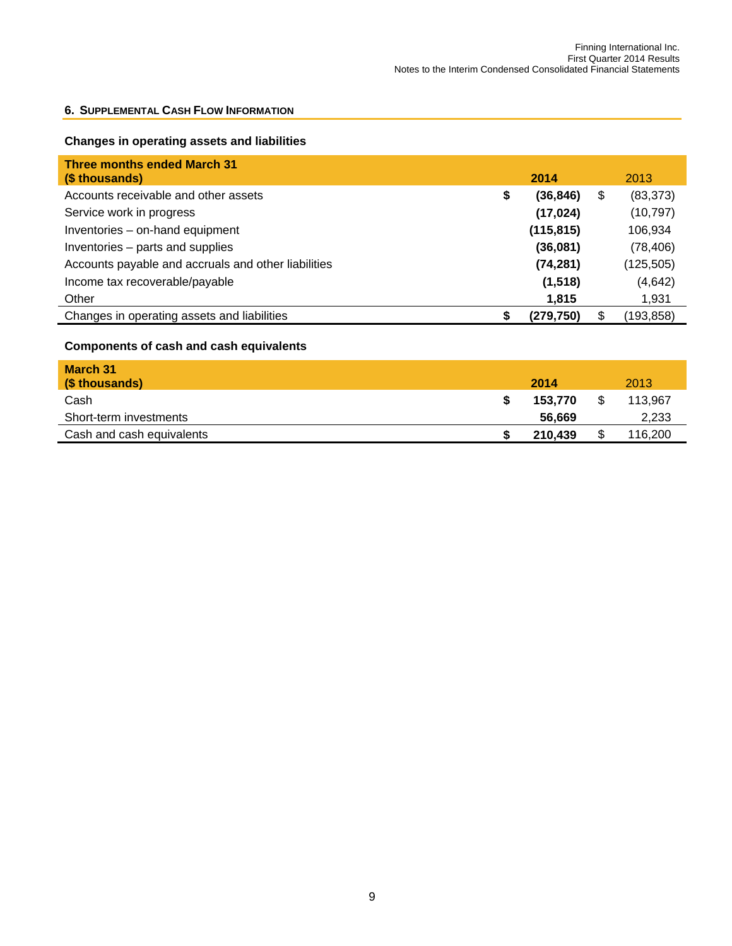#### **6. SUPPLEMENTAL CASH FLOW INFORMATION**

## **Changes in operating assets and liabilities**

| <b>Three months ended March 31</b><br>(\$ thousands) |   | 2014       |    | 2013       |
|------------------------------------------------------|---|------------|----|------------|
| Accounts receivable and other assets                 | S | (36, 846)  | \$ | (83, 373)  |
| Service work in progress                             |   | (17, 024)  |    | (10, 797)  |
| Inventories - on-hand equipment                      |   | (115, 815) |    | 106,934    |
| Inventories - parts and supplies                     |   | (36,081)   |    | (78, 406)  |
| Accounts payable and accruals and other liabilities  |   | (74, 281)  |    | (125, 505) |
| Income tax recoverable/payable                       |   | (1,518)    |    | (4,642)    |
| Other                                                |   | 1,815      |    | 1,931      |
| Changes in operating assets and liabilities          |   | (279.750)  | S  | (193,858)  |

## **Components of cash and cash equivalents**

| March 31<br>(\$ thousands) | 2014    | 2013    |
|----------------------------|---------|---------|
| Cash                       | 153.770 | 113.967 |
| Short-term investments     | 56.669  | 2,233   |
| Cash and cash equivalents  | 210,439 | 116,200 |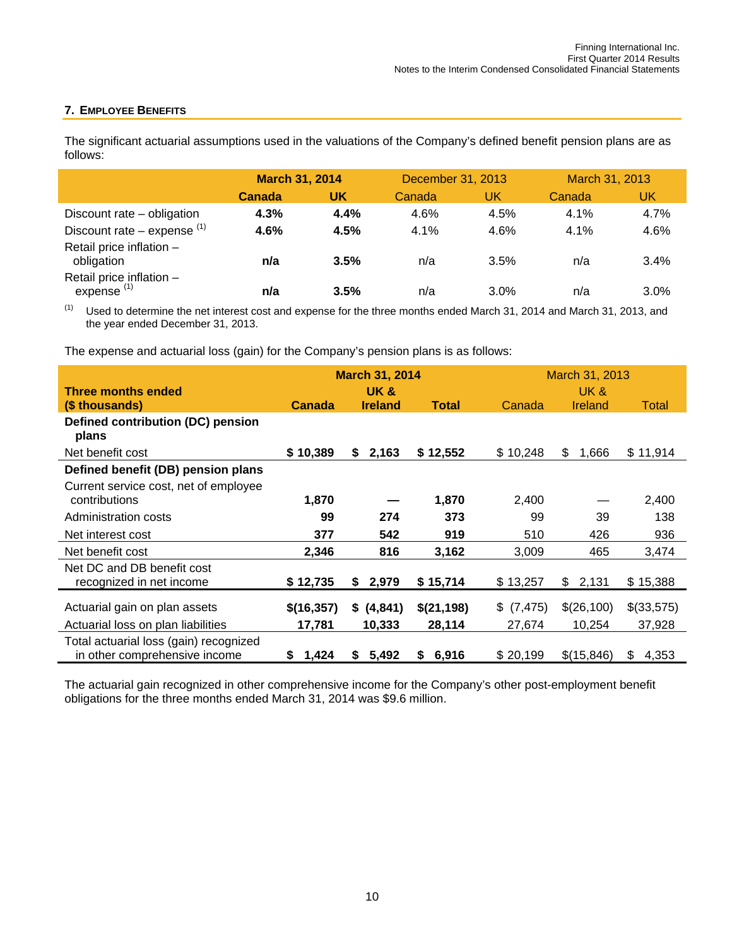## **7. EMPLOYEE BENEFITS**

The significant actuarial assumptions used in the valuations of the Company's defined benefit pension plans are as follows:

|                                           | <b>March 31, 2014</b> |      | December 31, 2013 |      | March 31, 2013 |      |  |
|-------------------------------------------|-----------------------|------|-------------------|------|----------------|------|--|
|                                           | Canada                | UK   | Canada            | UK   | Canada         | UK   |  |
| Discount rate - obligation                | 4.3%                  | 4.4% | 4.6%              | 4.5% | 4.1%           | 4.7% |  |
| Discount rate – expense $(1)$             | 4.6%                  | 4.5% | 4.1%              | 4.6% | 4.1%           | 4.6% |  |
| Retail price inflation -<br>obligation    | n/a                   | 3.5% | n/a               | 3.5% | n/a            | 3.4% |  |
| Retail price inflation -<br>expense $(1)$ | n/a                   | 3.5% | n/a               | 3.0% | n/a            | 3.0% |  |

 $(1)$  Used to determine the net interest cost and expense for the three months ended March 31, 2014 and March 31, 2013, and the year ended December 31, 2013.

The expense and actuarial loss (gain) for the Company's pension plans is as follows:

|                                        |               | <b>March 31, 2014</b> |             | March 31, 2013 |             |             |  |  |
|----------------------------------------|---------------|-----------------------|-------------|----------------|-------------|-------------|--|--|
| Three months ended                     |               | UK&                   |             | UK&            |             |             |  |  |
| (\$ thousands)                         | <b>Canada</b> | <b>Ireland</b>        | Total       | Canada         | Ireland     | Total       |  |  |
| Defined contribution (DC) pension      |               |                       |             |                |             |             |  |  |
| plans                                  |               |                       |             |                |             |             |  |  |
| Net benefit cost                       | \$10,389      | 2,163<br>S.           | \$12,552    | \$10,248       | 1,666<br>\$ | \$11,914    |  |  |
| Defined benefit (DB) pension plans     |               |                       |             |                |             |             |  |  |
| Current service cost, net of employee  |               |                       |             |                |             |             |  |  |
| contributions                          | 1,870         |                       | 1,870       | 2,400          |             | 2,400       |  |  |
| Administration costs                   | 99            | 274                   | 373         | 99             | 39          | 138         |  |  |
| Net interest cost                      | 377           | 542                   | 919         | 510            | 426         | 936         |  |  |
| Net benefit cost                       | 2,346         | 816                   | 3,162       | 3,009          | 465         | 3,474       |  |  |
| Net DC and DB benefit cost             |               |                       |             |                |             |             |  |  |
| recognized in net income               | \$12,735      | 2,979<br>S.           | \$15,714    | \$13,257       | \$2,131     | \$15,388    |  |  |
|                                        |               |                       |             |                |             |             |  |  |
| Actuarial gain on plan assets          | \$(16,357)    | \$ (4,841)            | \$(21,198)  | \$ (7,475)     | \$(26,100)  | \$(33,575)  |  |  |
| Actuarial loss on plan liabilities     | 17,781        | 10,333                | 28,114      | 27,674         | 10,254      | 37,928      |  |  |
| Total actuarial loss (gain) recognized |               |                       |             |                |             |             |  |  |
| in other comprehensive income          | 1,424<br>S.   | 5,492<br>S.           | 6,916<br>S. | \$20,199       | \$(15,846)  | 4,353<br>\$ |  |  |

The actuarial gain recognized in other comprehensive income for the Company's other post-employment benefit obligations for the three months ended March 31, 2014 was \$9.6 million.